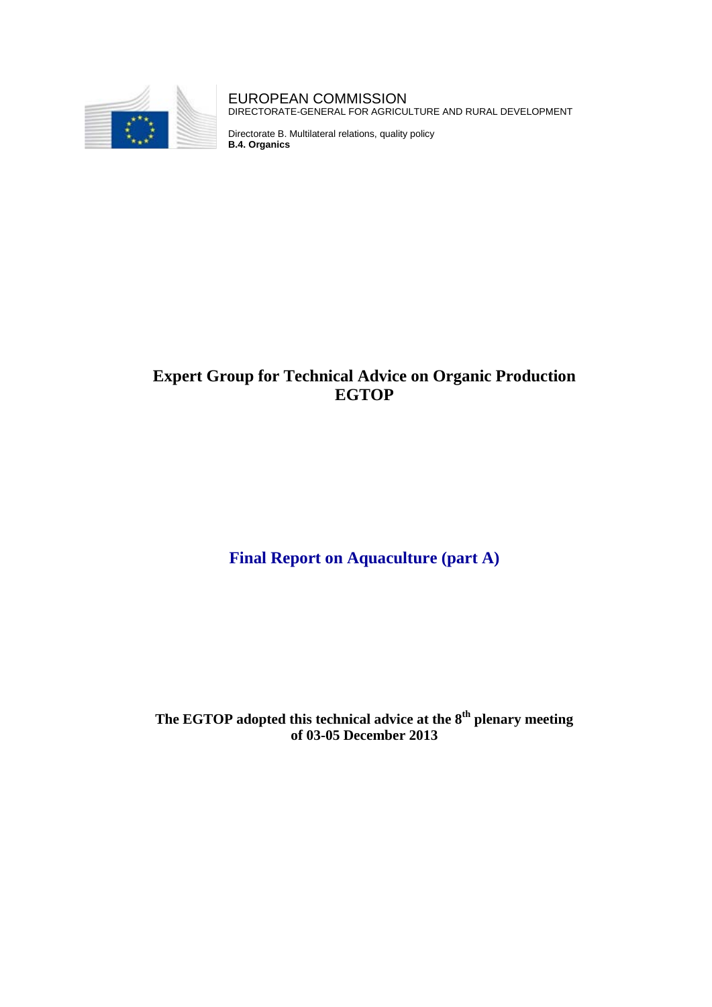

EUROPEAN COMMISSION DIRECTORATE-GENERAL FOR AGRICULTURE AND RURAL DEVELOPMENT

Directorate B. Multilateral relations, quality policy **B.4. Organics**

# **Expert Group for Technical Advice on Organic Production EGTOP**

# **Final Report on Aquaculture (part A)**

**The EGTOP adopted this technical advice at the 8th plenary meeting of 03-05 December 2013**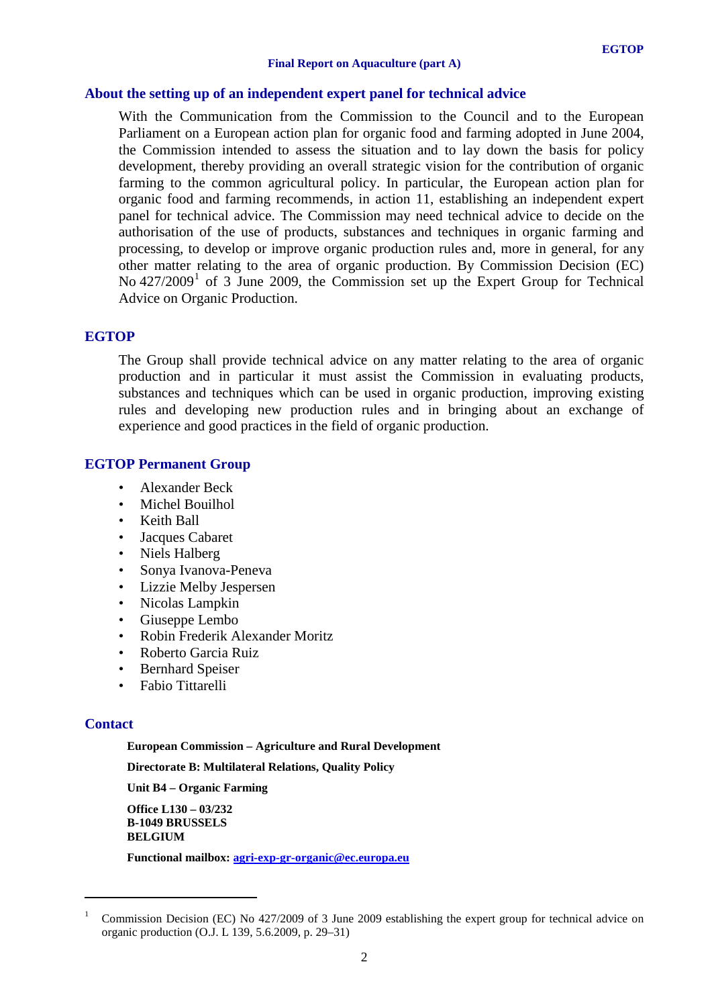## **About the setting up of an independent expert panel for technical advice**

With the Communication from the Commission to the Council and to the European Parliament on a European action plan for organic food and farming adopted in June 2004, the Commission intended to assess the situation and to lay down the basis for policy development, thereby providing an overall strategic vision for the contribution of organic farming to the common agricultural policy. In particular, the European action plan for organic food and farming recommends, in action 11, establishing an independent expert panel for technical advice. The Commission may need technical advice to decide on the authorisation of the use of products, substances and techniques in organic farming and processing, to develop or improve organic production rules and, more in general, for any other matter relating to the area of organic production. By Commission Decision (EC) No  $427/2009<sup>1</sup>$  $427/2009<sup>1</sup>$  $427/2009<sup>1</sup>$  of 3 June 2009, the Commission set up the Expert Group for Technical Advice on Organic Production.

#### **EGTOP**

The Group shall provide technical advice on any matter relating to the area of organic production and in particular it must assist the Commission in evaluating products, substances and techniques which can be used in organic production, improving existing rules and developing new production rules and in bringing about an exchange of experience and good practices in the field of organic production.

# **EGTOP Permanent Group**

- Alexander Beck
- Michel Bouilhol
- Keith Ball
- Jacques Cabaret
- Niels Halberg
- Sonya Ivanova-Peneva
- Lizzie Melby Jespersen
- Nicolas Lampkin
- Giuseppe Lembo
- Robin Frederik Alexander Moritz
- Roberto Garcia Ruiz
- Bernhard Speiser
- Fabio Tittarelli

#### **Contact**

<u>.</u>

**European Commission – Agriculture and Rural Development**

**Directorate B: Multilateral Relations, Quality Policy**

**Unit B4 – Organic Farming**

**Office L130 – 03/232 B-1049 BRUSSELS BELGIUM**

**Functional mailbox: [agri-exp-gr-organic@ec.europa.eu](mailto:agri-exp-gr-organic@ec.europa.eu)**

<span id="page-1-0"></span><sup>1</sup> Commission Decision (EC) No 427/2009 of 3 June 2009 establishing the expert group for technical advice on organic production (O.J. L 139, 5.6.2009, p. 29–31)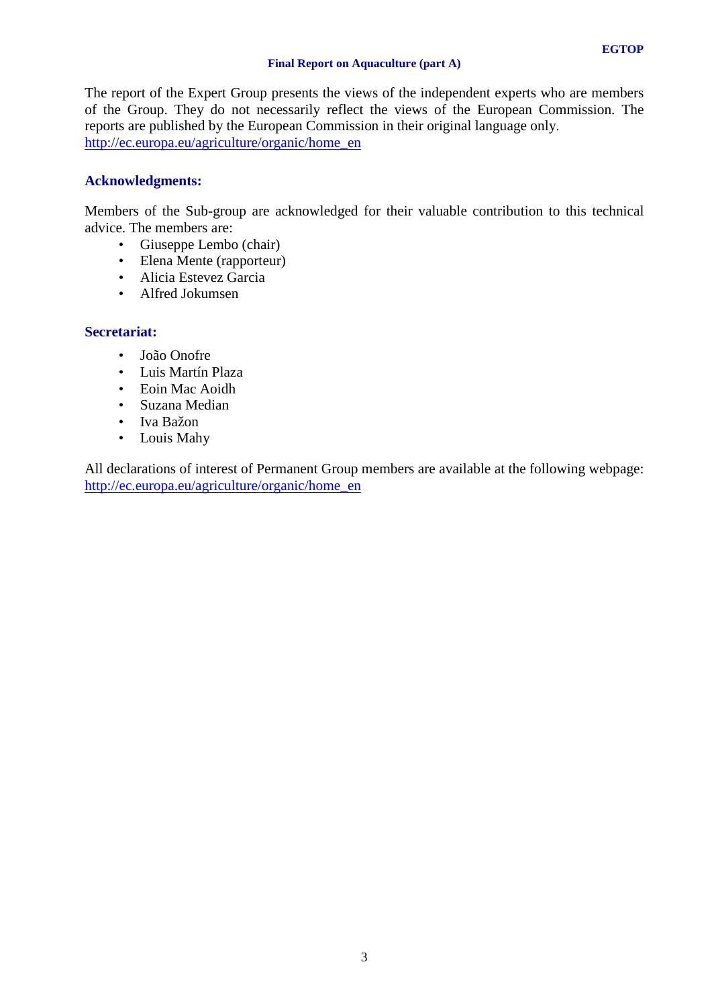#### **Final Report on Aquaculture (part A)**

The report of the Expert Group presents the views of the independent experts who are members of the Group. They do not necessarily reflect the views of the European Commission. The reports are published by the European Commission in their original language only.

[http://ec.europa.eu/agriculture/organic/home\\_en](http://ec.europa.eu/agriculture/organic/home_en)

# **Acknowledgments:**

Members of the Sub-group are acknowledged for their valuable contribution to this technical advice. The members are:

- Giuseppe Lembo (chair)
- Elena Mente (rapporteur)
- Alicia Estevez Garcia
- Alfred Jokumsen

# **Secretariat:**

- João Onofre
- Luis Martín Plaza
- Eoin Mac Aoidh
- Suzana Median
- Iva Bažon
- Louis Mahy

All declarations of interest of Permanent Group members are available at the following webpage: [http://ec.europa.eu/agriculture/organic/home\\_en](http://ec.europa.eu/agriculture/organic/home_en)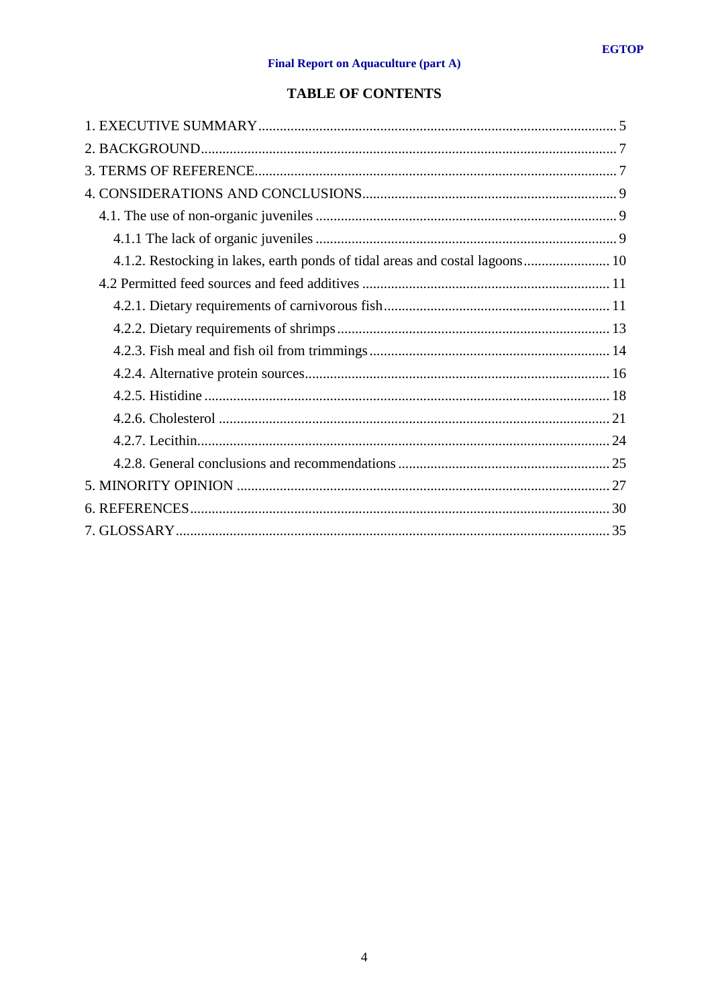# **TABLE OF CONTENTS**

| 4.1.2. Restocking in lakes, earth ponds of tidal areas and costal lagoons 10 |
|------------------------------------------------------------------------------|
|                                                                              |
|                                                                              |
|                                                                              |
|                                                                              |
|                                                                              |
|                                                                              |
|                                                                              |
|                                                                              |
|                                                                              |
|                                                                              |
|                                                                              |
|                                                                              |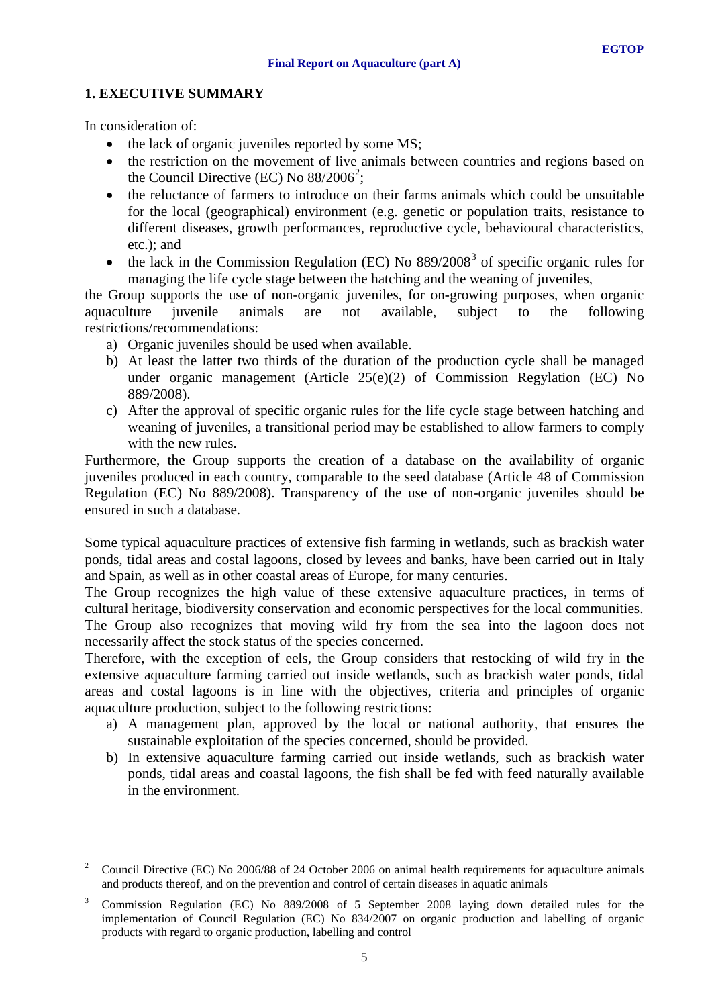# <span id="page-4-0"></span>**1. EXECUTIVE SUMMARY**

In consideration of:

<u>.</u>

- the lack of organic juveniles reported by some MS;
- the restriction on the movement of live animals between countries and regions based on the Council Directive (EC) No  $88/2006^2$  $88/2006^2$  $88/2006^2$ ;
- the reluctance of farmers to introduce on their farms animals which could be unsuitable for the local (geographical) environment (e.g. genetic or population traits, resistance to different diseases, growth performances, reproductive cycle, behavioural characteristics, etc.); and
- the lack in the Commission Regulation (EC) No  $889/2008^3$  $889/2008^3$  of specific organic rules for managing the life cycle stage between the hatching and the weaning of juveniles,

the Group supports the use of non-organic juveniles, for on-growing purposes, when organic aquaculture juvenile animals are not available, subject to the following restrictions/recommendations:

- a) Organic juveniles should be used when available.
- b) At least the latter two thirds of the duration of the production cycle shall be managed under organic management (Article 25(e)(2) of Commission Regylation (EC) No 889/2008).
- c) After the approval of specific organic rules for the life cycle stage between hatching and weaning of juveniles, a transitional period may be established to allow farmers to comply with the new rules.

Furthermore, the Group supports the creation of a database on the availability of organic juveniles produced in each country, comparable to the seed database (Article 48 of Commission Regulation (EC) No 889/2008). Transparency of the use of non-organic juveniles should be ensured in such a database.

Some typical aquaculture practices of extensive fish farming in wetlands, such as brackish water ponds, tidal areas and costal lagoons, closed by levees and banks, have been carried out in Italy and Spain, as well as in other coastal areas of Europe, for many centuries.

The Group recognizes the high value of these extensive aquaculture practices, in terms of cultural heritage, biodiversity conservation and economic perspectives for the local communities. The Group also recognizes that moving wild fry from the sea into the lagoon does not necessarily affect the stock status of the species concerned.

Therefore, with the exception of eels, the Group considers that restocking of wild fry in the extensive aquaculture farming carried out inside wetlands, such as brackish water ponds, tidal areas and costal lagoons is in line with the objectives, criteria and principles of organic aquaculture production, subject to the following restrictions:

- a) A management plan, approved by the local or national authority, that ensures the sustainable exploitation of the species concerned, should be provided.
- b) In extensive aquaculture farming carried out inside wetlands, such as brackish water ponds, tidal areas and coastal lagoons, the fish shall be fed with feed naturally available in the environment.

<span id="page-4-1"></span><sup>2</sup> Council Directive (EC) No 2006/88 of 24 October 2006 on animal health requirements for aquaculture animals and products thereof, and on the prevention and control of certain diseases in aquatic animals

<span id="page-4-2"></span><sup>3</sup> Commission Regulation (EC) No 889/2008 of 5 September 2008 laying down detailed rules for the implementation of Council Regulation (EC) No 834/2007 on organic production and labelling of organic products with regard to organic production, labelling and control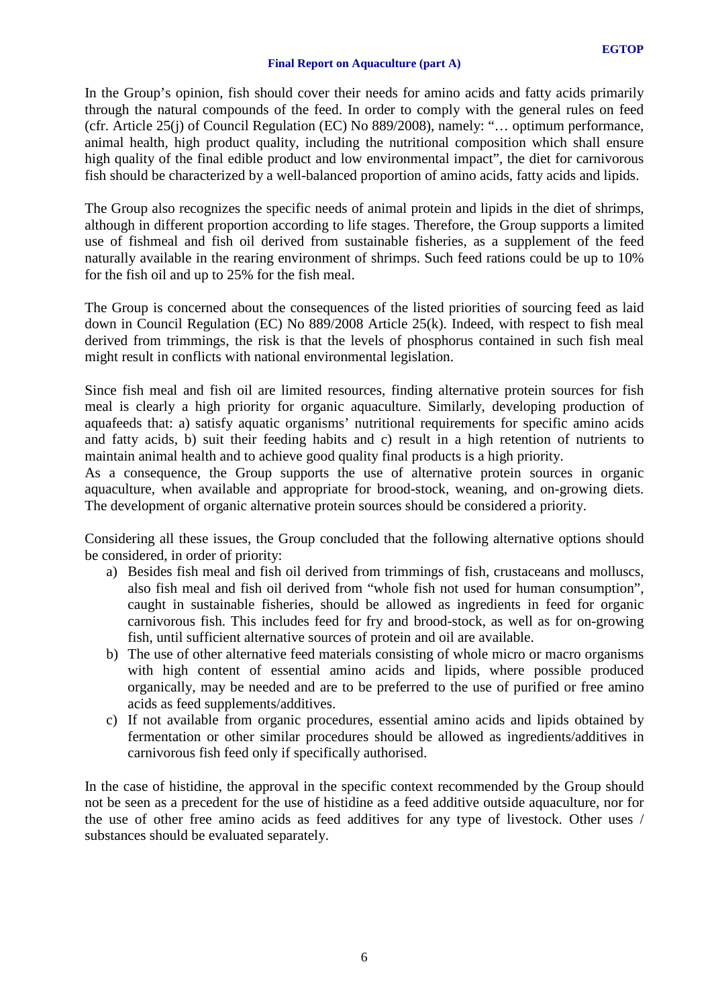#### **Final Report on Aquaculture (part A)**

In the Group's opinion, fish should cover their needs for amino acids and fatty acids primarily through the natural compounds of the feed. In order to comply with the general rules on feed (cfr. Article 25(j) of Council Regulation (EC) No 889/2008), namely: "… optimum performance, animal health, high product quality, including the nutritional composition which shall ensure high quality of the final edible product and low environmental impact", the diet for carnivorous fish should be characterized by a well-balanced proportion of amino acids, fatty acids and lipids.

The Group also recognizes the specific needs of animal protein and lipids in the diet of shrimps, although in different proportion according to life stages. Therefore, the Group supports a limited use of fishmeal and fish oil derived from sustainable fisheries, as a supplement of the feed naturally available in the rearing environment of shrimps. Such feed rations could be up to 10% for the fish oil and up to 25% for the fish meal.

The Group is concerned about the consequences of the listed priorities of sourcing feed as laid down in Council Regulation (EC) No 889/2008 Article 25(k). Indeed, with respect to fish meal derived from trimmings, the risk is that the levels of phosphorus contained in such fish meal might result in conflicts with national environmental legislation.

Since fish meal and fish oil are limited resources, finding alternative protein sources for fish meal is clearly a high priority for organic aquaculture. Similarly, developing production of aquafeeds that: a) satisfy aquatic organisms' nutritional requirements for specific amino acids and fatty acids, b) suit their feeding habits and c) result in a high retention of nutrients to maintain animal health and to achieve good quality final products is a high priority.

As a consequence, the Group supports the use of alternative protein sources in organic aquaculture, when available and appropriate for brood-stock, weaning, and on-growing diets. The development of organic alternative protein sources should be considered a priority.

Considering all these issues, the Group concluded that the following alternative options should be considered, in order of priority:

- a) Besides fish meal and fish oil derived from trimmings of fish, crustaceans and molluscs, also fish meal and fish oil derived from "whole fish not used for human consumption", caught in sustainable fisheries, should be allowed as ingredients in feed for organic carnivorous fish. This includes feed for fry and brood-stock, as well as for on-growing fish, until sufficient alternative sources of protein and oil are available.
- b) The use of other alternative feed materials consisting of whole micro or macro organisms with high content of essential amino acids and lipids, where possible produced organically, may be needed and are to be preferred to the use of purified or free amino acids as feed supplements/additives.
- c) If not available from organic procedures, essential amino acids and lipids obtained by fermentation or other similar procedures should be allowed as ingredients/additives in carnivorous fish feed only if specifically authorised.

In the case of histidine, the approval in the specific context recommended by the Group should not be seen as a precedent for the use of histidine as a feed additive outside aquaculture, nor for the use of other free amino acids as feed additives for any type of livestock. Other uses / substances should be evaluated separately.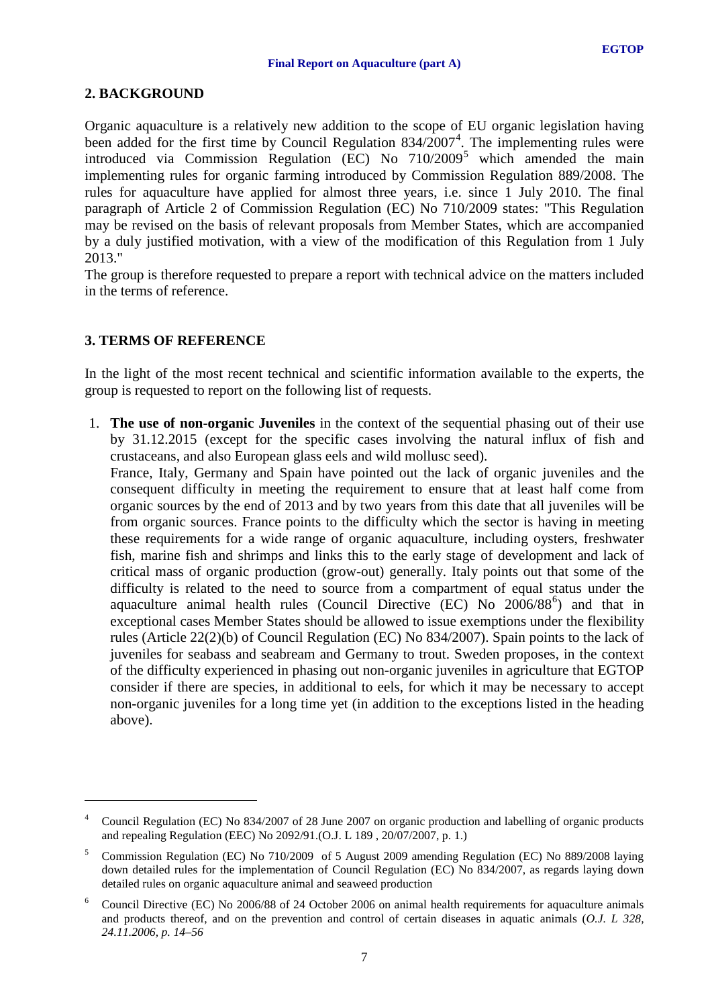# <span id="page-6-0"></span>**2. BACKGROUND**

Organic aquaculture is a relatively new addition to the scope of EU organic legislation having been added for the first time by Council Regulation  $834/2007^4$  $834/2007^4$  $834/2007^4$ . The implementing rules were introduced via Commission Regulation (EC) No  $710/2009^5$  $710/2009^5$  which amended the main implementing rules for organic farming introduced by Commission Regulation 889/2008. The rules for aquaculture have applied for almost three years, i.e. since 1 July 2010. The final paragraph of Article 2 of Commission Regulation (EC) No 710/2009 states: "This Regulation may be revised on the basis of relevant proposals from Member States, which are accompanied by a duly justified motivation, with a view of the modification of this Regulation from 1 July 2013."

The group is therefore requested to prepare a report with technical advice on the matters included in the terms of reference.

# <span id="page-6-1"></span>**3. TERMS OF REFERENCE**

<u>.</u>

In the light of the most recent technical and scientific information available to the experts, the group is requested to report on the following list of requests.

1. **The use of non-organic Juveniles** in the context of the sequential phasing out of their use by 31.12.2015 (except for the specific cases involving the natural influx of fish and crustaceans, and also European glass eels and wild mollusc seed).

France, Italy, Germany and Spain have pointed out the lack of organic juveniles and the consequent difficulty in meeting the requirement to ensure that at least half come from organic sources by the end of 2013 and by two years from this date that all juveniles will be from organic sources. France points to the difficulty which the sector is having in meeting these requirements for a wide range of organic aquaculture, including oysters, freshwater fish, marine fish and shrimps and links this to the early stage of development and lack of critical mass of organic production (grow-out) generally. Italy points out that some of the difficulty is related to the need to source from a compartment of equal status under the aquaculture animal health rules (Council Directive (EC) No 200[6](#page-6-4)/88<sup>6</sup>) and that in exceptional cases Member States should be allowed to issue exemptions under the flexibility rules (Article 22(2)(b) of Council Regulation (EC) No 834/2007). Spain points to the lack of juveniles for seabass and seabream and Germany to trout. Sweden proposes, in the context of the difficulty experienced in phasing out non-organic juveniles in agriculture that EGTOP consider if there are species, in additional to eels, for which it may be necessary to accept non-organic juveniles for a long time yet (in addition to the exceptions listed in the heading above).

<span id="page-6-2"></span><sup>&</sup>lt;sup>4</sup> Council Regulation (EC) No 834/2007 of 28 June 2007 on organic production and labelling of organic products and repealing Regulation (EEC) No 2092/91.(O.J. L 189 , 20/07/2007, p. 1.)

<span id="page-6-3"></span><sup>5</sup> Commission Regulation (EC) No 710/2009 of 5 August 2009 amending Regulation (EC) No 889/2008 laying down detailed rules for the implementation of Council Regulation (EC) No 834/2007, as regards laying down detailed rules on organic aquaculture animal and seaweed production

<span id="page-6-4"></span><sup>6</sup> Council Directive (EC) No 2006/88 of 24 October 2006 on animal health requirements for aquaculture animals and products thereof, and on the prevention and control of certain diseases in aquatic animals (*O.J. L 328, 24.11.2006, p. 14–56*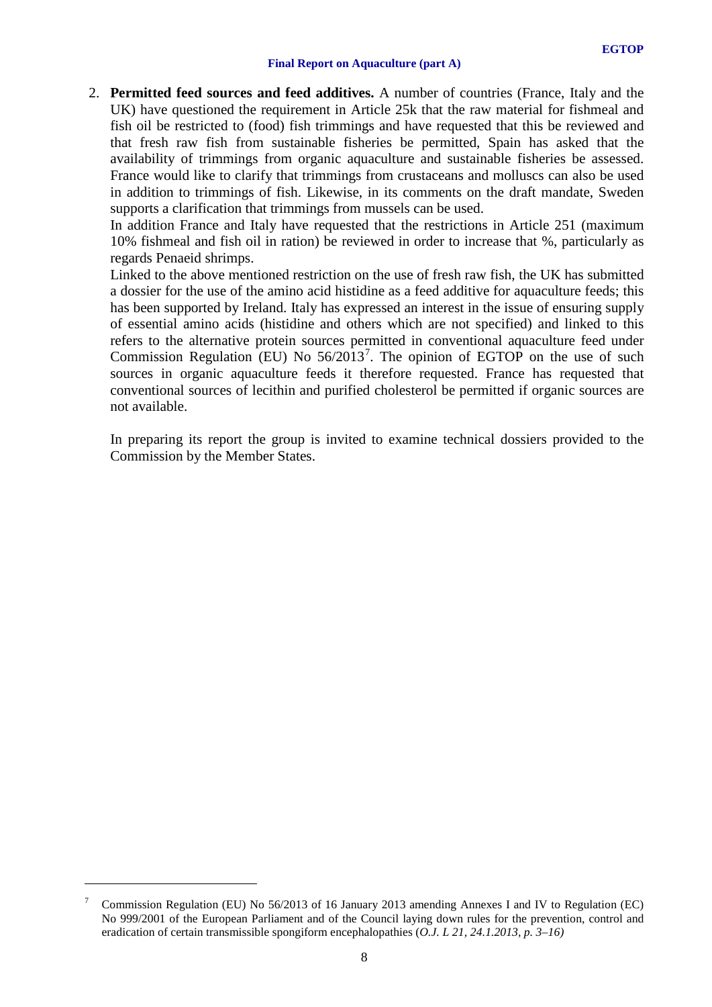2. **Permitted feed sources and feed additives.** A number of countries (France, Italy and the UK) have questioned the requirement in Article 25k that the raw material for fishmeal and fish oil be restricted to (food) fish trimmings and have requested that this be reviewed and that fresh raw fish from sustainable fisheries be permitted, Spain has asked that the availability of trimmings from organic aquaculture and sustainable fisheries be assessed. France would like to clarify that trimmings from crustaceans and molluscs can also be used in addition to trimmings of fish. Likewise, in its comments on the draft mandate, Sweden supports a clarification that trimmings from mussels can be used.

In addition France and Italy have requested that the restrictions in Article 251 (maximum 10% fishmeal and fish oil in ration) be reviewed in order to increase that %, particularly as regards Penaeid shrimps.

Linked to the above mentioned restriction on the use of fresh raw fish, the UK has submitted a dossier for the use of the amino acid histidine as a feed additive for aquaculture feeds; this has been supported by Ireland. Italy has expressed an interest in the issue of ensuring supply of essential amino acids (histidine and others which are not specified) and linked to this refers to the alternative protein sources permitted in conventional aquaculture feed under Commission Regulation (EU) No  $56/2013^7$  $56/2013^7$ . The opinion of EGTOP on the use of such sources in organic aquaculture feeds it therefore requested. France has requested that conventional sources of lecithin and purified cholesterol be permitted if organic sources are not available.

In preparing its report the group is invited to examine technical dossiers provided to the Commission by the Member States.

-

<span id="page-7-0"></span><sup>7</sup> Commission Regulation (EU) No 56/2013 of 16 January 2013 amending Annexes I and IV to Regulation (EC) No 999/2001 of the European Parliament and of the Council laying down rules for the prevention, control and eradication of certain transmissible spongiform encephalopathies (*O.J. L 21, 24.1.2013, p. 3–16)*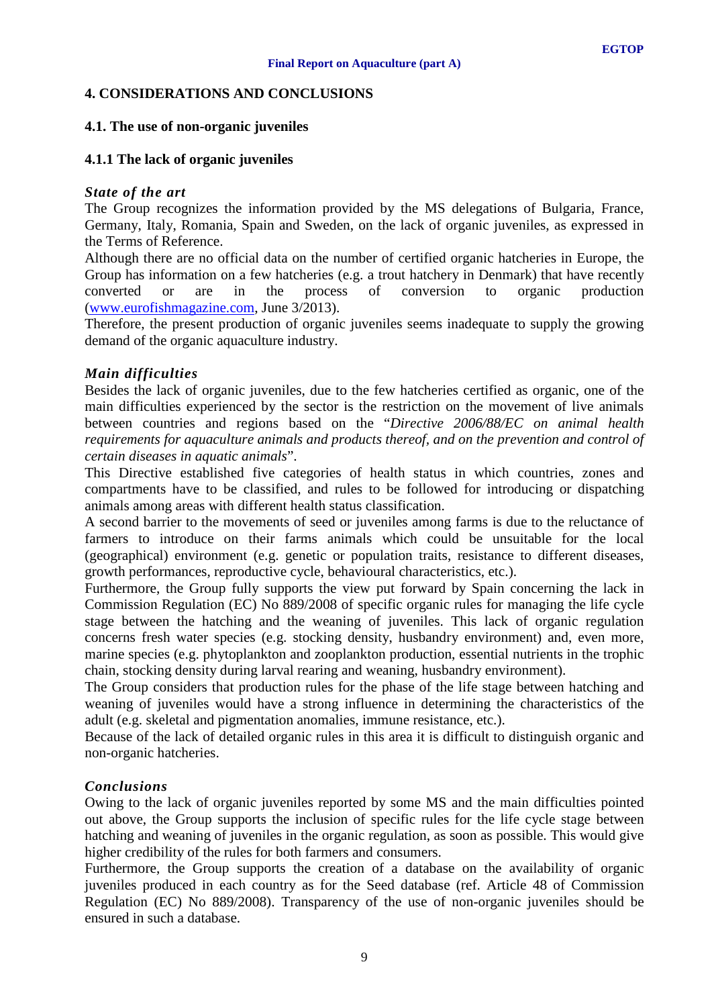## <span id="page-8-0"></span>**4. CONSIDERATIONS AND CONCLUSIONS**

#### <span id="page-8-1"></span>**4.1. The use of non-organic juveniles**

### <span id="page-8-2"></span>**4.1.1 The lack of organic juveniles**

#### *State of the art*

The Group recognizes the information provided by the MS delegations of Bulgaria, France, Germany, Italy, Romania, Spain and Sweden, on the lack of organic juveniles, as expressed in the Terms of Reference.

Although there are no official data on the number of certified organic hatcheries in Europe, the Group has information on a few hatcheries (e.g. a trout hatchery in Denmark) that have recently converted or are in the process of conversion to organic production [\(www.eurofishmagazine.com,](http://www.eurofishmagazine.com/) June 3/2013).

Therefore, the present production of organic juveniles seems inadequate to supply the growing demand of the organic aquaculture industry.

### *Main difficulties*

Besides the lack of organic juveniles, due to the few hatcheries certified as organic, one of the main difficulties experienced by the sector is the restriction on the movement of live animals between countries and regions based on the "*Directive 2006/88/EC on animal health requirements for aquaculture animals and products thereof, and on the prevention and control of certain diseases in aquatic animals*".

This Directive established five categories of health status in which countries, zones and compartments have to be classified, and rules to be followed for introducing or dispatching animals among areas with different health status classification.

A second barrier to the movements of seed or juveniles among farms is due to the reluctance of farmers to introduce on their farms animals which could be unsuitable for the local (geographical) environment (e.g. genetic or population traits, resistance to different diseases, growth performances, reproductive cycle, behavioural characteristics, etc.).

Furthermore, the Group fully supports the view put forward by Spain concerning the lack in Commission Regulation (EC) No 889/2008 of specific organic rules for managing the life cycle stage between the hatching and the weaning of juveniles. This lack of organic regulation concerns fresh water species (e.g. stocking density, husbandry environment) and, even more, marine species (e.g. phytoplankton and zooplankton production, essential nutrients in the trophic chain, stocking density during larval rearing and weaning, husbandry environment).

The Group considers that production rules for the phase of the life stage between hatching and weaning of juveniles would have a strong influence in determining the characteristics of the adult (e.g. skeletal and pigmentation anomalies, immune resistance, etc.).

Because of the lack of detailed organic rules in this area it is difficult to distinguish organic and non-organic hatcheries.

#### *Conclusions*

Owing to the lack of organic juveniles reported by some MS and the main difficulties pointed out above, the Group supports the inclusion of specific rules for the life cycle stage between hatching and weaning of juveniles in the organic regulation, as soon as possible. This would give higher credibility of the rules for both farmers and consumers.

Furthermore, the Group supports the creation of a database on the availability of organic juveniles produced in each country as for the Seed database (ref. Article 48 of Commission Regulation (EC) No 889/2008). Transparency of the use of non-organic juveniles should be ensured in such a database.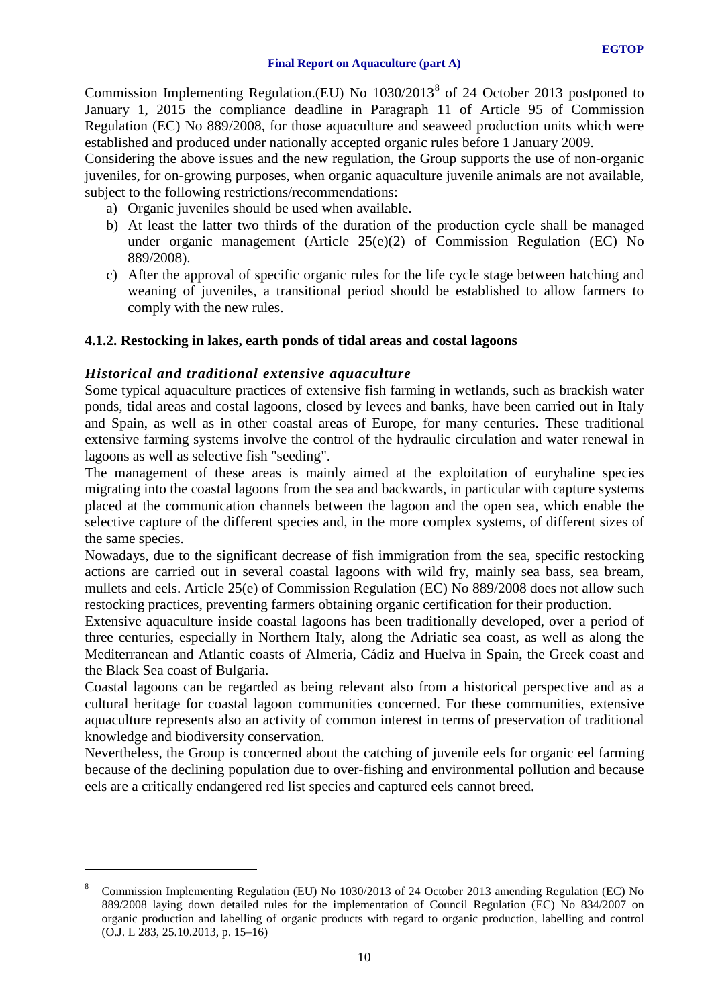Commission Implementing Regulation.(EU) No 1030/2013[8](#page-9-1) of 24 October 2013 postponed to January 1, 2015 the compliance deadline in Paragraph 11 of Article 95 of Commission Regulation (EC) No 889/2008, for those aquaculture and seaweed production units which were established and produced under nationally accepted organic rules before 1 January 2009.

Considering the above issues and the new regulation, the Group supports the use of non-organic juveniles, for on-growing purposes, when organic aquaculture juvenile animals are not available, subject to the following restrictions/recommendations:

- a) Organic juveniles should be used when available.
- b) At least the latter two thirds of the duration of the production cycle shall be managed under organic management (Article 25(e)(2) of Commission Regulation (EC) No 889/2008).
- c) After the approval of specific organic rules for the life cycle stage between hatching and weaning of juveniles, a transitional period should be established to allow farmers to comply with the new rules.

# <span id="page-9-0"></span>**4.1.2. Restocking in lakes, earth ponds of tidal areas and costal lagoons**

# *Historical and traditional extensive aquaculture*

-

Some typical aquaculture practices of extensive fish farming in wetlands, such as brackish water ponds, tidal areas and costal lagoons, closed by levees and banks, have been carried out in Italy and Spain, as well as in other coastal areas of Europe, for many centuries. These traditional extensive farming systems involve the control of the hydraulic circulation and water renewal in lagoons as well as selective fish "seeding".

The management of these areas is mainly aimed at the exploitation of euryhaline species migrating into the coastal lagoons from the sea and backwards, in particular with capture systems placed at the communication channels between the lagoon and the open sea, which enable the selective capture of the different species and, in the more complex systems, of different sizes of the same species.

Nowadays, due to the significant decrease of fish immigration from the sea, specific restocking actions are carried out in several coastal lagoons with wild fry, mainly sea bass, sea bream, mullets and eels. Article 25(e) of Commission Regulation (EC) No 889/2008 does not allow such restocking practices, preventing farmers obtaining organic certification for their production.

Extensive aquaculture inside coastal lagoons has been traditionally developed, over a period of three centuries, especially in Northern Italy, along the Adriatic sea coast, as well as along the Mediterranean and Atlantic coasts of Almeria, Cádiz and Huelva in Spain, the Greek coast and the Black Sea coast of Bulgaria.

Coastal lagoons can be regarded as being relevant also from a historical perspective and as a cultural heritage for coastal lagoon communities concerned. For these communities, extensive aquaculture represents also an activity of common interest in terms of preservation of traditional knowledge and biodiversity conservation.

Nevertheless, the Group is concerned about the catching of juvenile eels for organic eel farming because of the declining population due to over-fishing and environmental pollution and because eels are a critically endangered red list species and captured eels cannot breed.

<span id="page-9-1"></span><sup>8</sup> Commission Implementing Regulation (EU) No 1030/2013 of 24 October 2013 amending Regulation (EC) No 889/2008 laying down detailed rules for the implementation of Council Regulation (EC) No 834/2007 on organic production and labelling of organic products with regard to organic production, labelling and control (O.J. L 283, 25.10.2013, p. 15–16)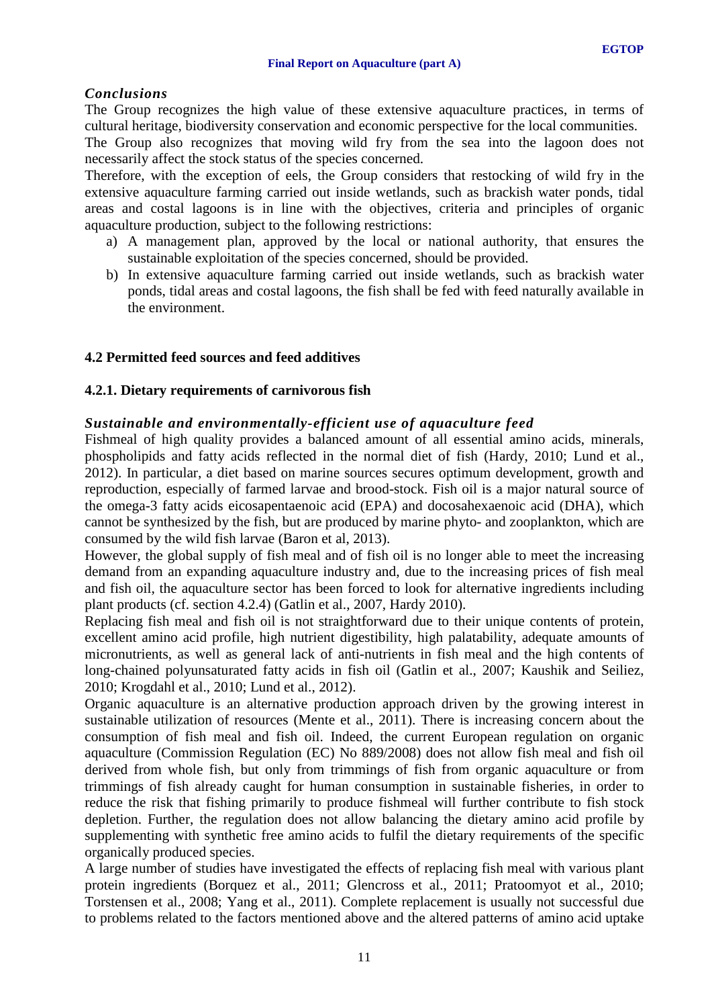## *Conclusions*

The Group recognizes the high value of these extensive aquaculture practices, in terms of cultural heritage, biodiversity conservation and economic perspective for the local communities.

The Group also recognizes that moving wild fry from the sea into the lagoon does not necessarily affect the stock status of the species concerned.

Therefore, with the exception of eels, the Group considers that restocking of wild fry in the extensive aquaculture farming carried out inside wetlands, such as brackish water ponds, tidal areas and costal lagoons is in line with the objectives, criteria and principles of organic aquaculture production, subject to the following restrictions:

- a) A management plan, approved by the local or national authority, that ensures the sustainable exploitation of the species concerned, should be provided.
- b) In extensive aquaculture farming carried out inside wetlands, such as brackish water ponds, tidal areas and costal lagoons, the fish shall be fed with feed naturally available in the environment.

### <span id="page-10-0"></span>**4.2 Permitted feed sources and feed additives**

#### <span id="page-10-1"></span>**4.2.1. Dietary requirements of carnivorous fish**

#### *Sustainable and environmentally-efficient use of aquaculture feed*

Fishmeal of high quality provides a balanced amount of all essential amino acids, minerals, phospholipids and fatty acids reflected in the normal diet of fish (Hardy, 2010; Lund et al., 2012). In particular, a diet based on marine sources secures optimum development, growth and reproduction, especially of farmed larvae and brood-stock. Fish oil is a major natural source of the omega-3 fatty acids eicosapentaenoic acid (EPA) and docosahexaenoic acid (DHA), which cannot be synthesized by the fish, but are produced by marine phyto- and zooplankton, which are consumed by the wild fish larvae (Baron et al, 2013).

However, the global supply of fish meal and of fish oil is no longer able to meet the increasing demand from an expanding aquaculture industry and, due to the increasing prices of fish meal and fish oil, the aquaculture sector has been forced to look for alternative ingredients including plant products (cf. section 4.2.4) (Gatlin et al., 2007, Hardy 2010).

Replacing fish meal and fish oil is not straightforward due to their unique contents of protein, excellent amino acid profile, high nutrient digestibility, high palatability, adequate amounts of micronutrients, as well as general lack of anti-nutrients in fish meal and the high contents of long-chained polyunsaturated fatty acids in fish oil (Gatlin et al., 2007; Kaushik and Seiliez, 2010; Krogdahl et al., 2010; Lund et al., 2012).

Organic aquaculture is an alternative production approach driven by the growing interest in sustainable utilization of resources (Mente et al., 2011). There is increasing concern about the consumption of fish meal and fish oil. Indeed, the current European regulation on organic aquaculture (Commission Regulation (EC) No 889/2008) does not allow fish meal and fish oil derived from whole fish, but only from trimmings of fish from organic aquaculture or from trimmings of fish already caught for human consumption in sustainable fisheries, in order to reduce the risk that fishing primarily to produce fishmeal will further contribute to fish stock depletion. Further, the regulation does not allow balancing the dietary amino acid profile by supplementing with synthetic free amino acids to fulfil the dietary requirements of the specific organically produced species.

A large number of studies have investigated the effects of replacing fish meal with various plant protein ingredients (Borquez et al., 2011; Glencross et al., 2011; Pratoomyot et al., 2010; Torstensen et al., 2008; Yang et al., 2011). Complete replacement is usually not successful due to problems related to the factors mentioned above and the altered patterns of amino acid uptake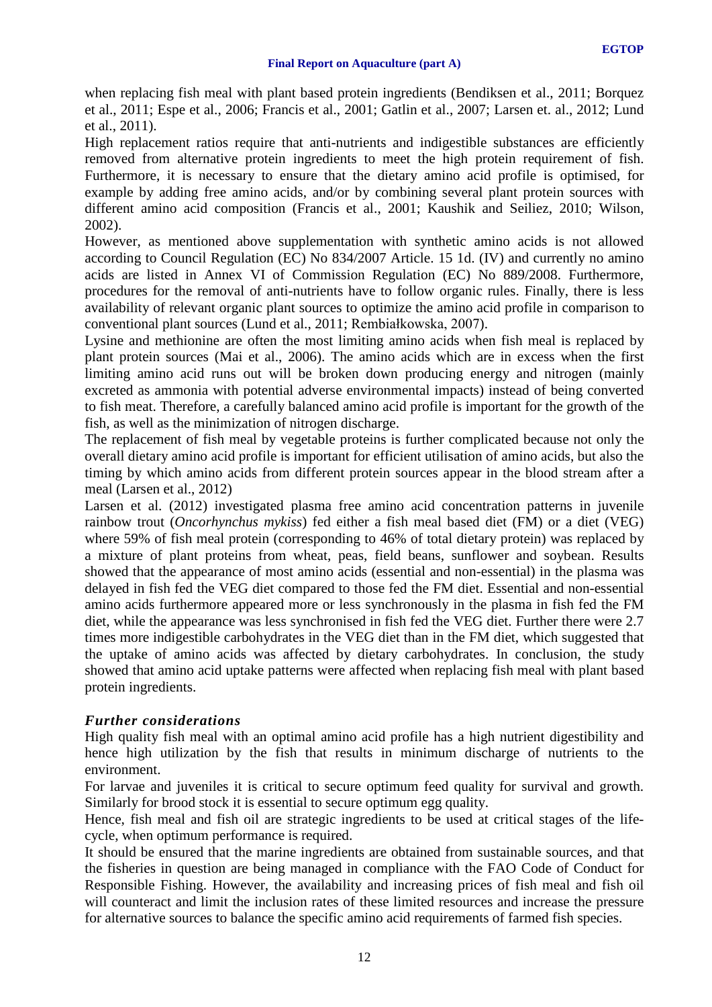when replacing fish meal with plant based protein ingredients (Bendiksen et al., 2011; Borquez et al., 2011; Espe et al., 2006; Francis et al., 2001; Gatlin et al., 2007; Larsen et. al., 2012; Lund et al., 2011).

High replacement ratios require that anti-nutrients and indigestible substances are efficiently removed from alternative protein ingredients to meet the high protein requirement of fish. Furthermore, it is necessary to ensure that the dietary amino acid profile is optimised, for example by adding free amino acids, and/or by combining several plant protein sources with different amino acid composition (Francis et al., 2001; Kaushik and Seiliez, 2010; Wilson, 2002).

However, as mentioned above supplementation with synthetic amino acids is not allowed according to Council Regulation (EC) No 834/2007 Article. 15 1d. (IV) and currently no amino acids are listed in Annex VI of Commission Regulation (EC) No 889/2008. Furthermore, procedures for the removal of anti-nutrients have to follow organic rules. Finally, there is less availability of relevant organic plant sources to optimize the amino acid profile in comparison to conventional plant sources (Lund et al., 2011; Rembiałkowska, 2007).

Lysine and methionine are often the most limiting amino acids when fish meal is replaced by plant protein sources (Mai et al., 2006). The amino acids which are in excess when the first limiting amino acid runs out will be broken down producing energy and nitrogen (mainly excreted as ammonia with potential adverse environmental impacts) instead of being converted to fish meat. Therefore, a carefully balanced amino acid profile is important for the growth of the fish, as well as the minimization of nitrogen discharge.

The replacement of fish meal by vegetable proteins is further complicated because not only the overall dietary amino acid profile is important for efficient utilisation of amino acids, but also the timing by which amino acids from different protein sources appear in the blood stream after a meal (Larsen et al., 2012)

Larsen et al. (2012) investigated plasma free amino acid concentration patterns in juvenile rainbow trout (*Oncorhynchus mykiss*) fed either a fish meal based diet (FM) or a diet (VEG) where 59% of fish meal protein (corresponding to 46% of total dietary protein) was replaced by a mixture of plant proteins from wheat, peas, field beans, sunflower and soybean. Results showed that the appearance of most amino acids (essential and non-essential) in the plasma was delayed in fish fed the VEG diet compared to those fed the FM diet. Essential and non-essential amino acids furthermore appeared more or less synchronously in the plasma in fish fed the FM diet, while the appearance was less synchronised in fish fed the VEG diet. Further there were 2.7 times more indigestible carbohydrates in the VEG diet than in the FM diet, which suggested that the uptake of amino acids was affected by dietary carbohydrates. In conclusion, the study showed that amino acid uptake patterns were affected when replacing fish meal with plant based protein ingredients.

# *Further considerations*

High quality fish meal with an optimal amino acid profile has a high nutrient digestibility and hence high utilization by the fish that results in minimum discharge of nutrients to the environment.

For larvae and juveniles it is critical to secure optimum feed quality for survival and growth. Similarly for brood stock it is essential to secure optimum egg quality.

Hence, fish meal and fish oil are strategic ingredients to be used at critical stages of the lifecycle, when optimum performance is required.

It should be ensured that the marine ingredients are obtained from sustainable sources, and that the fisheries in question are being managed in compliance with the FAO Code of Conduct for Responsible Fishing. However, the availability and increasing prices of fish meal and fish oil will counteract and limit the inclusion rates of these limited resources and increase the pressure for alternative sources to balance the specific amino acid requirements of farmed fish species.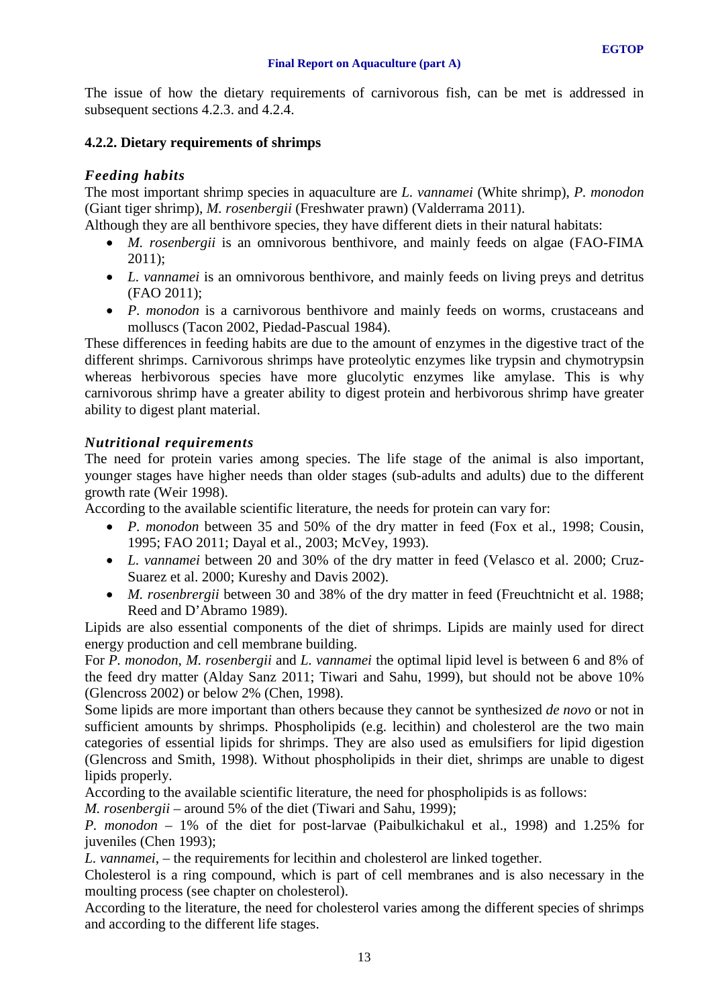The issue of how the dietary requirements of carnivorous fish, can be met is addressed in subsequent sections 4.2.3. and 4.2.4.

# <span id="page-12-0"></span>**4.2.2. Dietary requirements of shrimps**

# *Feeding habits*

The most important shrimp species in aquaculture are *L. vannamei* (White shrimp), *P. monodon* (Giant tiger shrimp), *M. rosenbergii* (Freshwater prawn) (Valderrama 2011).

Although they are all benthivore species, they have different diets in their natural habitats:

- *M. rosenbergii* is an omnivorous benthivore, and mainly feeds on algae (FAO-FIMA 2011);
- *L. vannamei* is an omnivorous benthivore, and mainly feeds on living preys and detritus (FAO 2011);
- *P. monodon* is a carnivorous benthivore and mainly feeds on worms, crustaceans and molluscs (Tacon 2002, Piedad-Pascual 1984).

These differences in feeding habits are due to the amount of enzymes in the digestive tract of the different shrimps. Carnivorous shrimps have proteolytic enzymes like trypsin and chymotrypsin whereas herbivorous species have more glucolytic enzymes like amylase. This is why carnivorous shrimp have a greater ability to digest protein and herbivorous shrimp have greater ability to digest plant material.

### *Nutritional requirements*

The need for protein varies among species. The life stage of the animal is also important, younger stages have higher needs than older stages (sub-adults and adults) due to the different growth rate (Weir 1998).

According to the available scientific literature, the needs for protein can vary for:

- *P. monodon* between 35 and 50% of the dry matter in feed (Fox et al., 1998; Cousin, 1995; FAO 2011; Dayal et al., 2003; McVey, 1993).
- *L. vannamei* between 20 and 30% of the dry matter in feed (Velasco et al. 2000; Cruz-Suarez et al. 2000; Kureshy and Davis 2002).
- *M. rosenbrergii* between 30 and 38% of the dry matter in feed (Freuchtnicht et al. 1988; Reed and D'Abramo 1989).

Lipids are also essential components of the diet of shrimps. Lipids are mainly used for direct energy production and cell membrane building.

For *P. monodon*, *M. rosenbergii* and *L. vannamei* the optimal lipid level is between 6 and 8% of the feed dry matter (Alday Sanz 2011; Tiwari and Sahu, 1999), but should not be above 10% (Glencross 2002) or below 2% (Chen, 1998).

Some lipids are more important than others because they cannot be synthesized *de novo* or not in sufficient amounts by shrimps. Phospholipids (e.g. lecithin) and cholesterol are the two main categories of essential lipids for shrimps. They are also used as emulsifiers for lipid digestion (Glencross and Smith, 1998). Without phospholipids in their diet, shrimps are unable to digest lipids properly.

According to the available scientific literature, the need for phospholipids is as follows:

*M. rosenbergii* – around 5% of the diet (Tiwari and Sahu, 1999);

*P. monodon* – 1% of the diet for post-larvae (Paibulkichakul et al., 1998) and 1.25% for juveniles (Chen 1993);

*L. vannamei*, – the requirements for lecithin and cholesterol are linked together.

Cholesterol is a ring compound, which is part of cell membranes and is also necessary in the moulting process (see chapter on cholesterol).

According to the literature, the need for cholesterol varies among the different species of shrimps and according to the different life stages.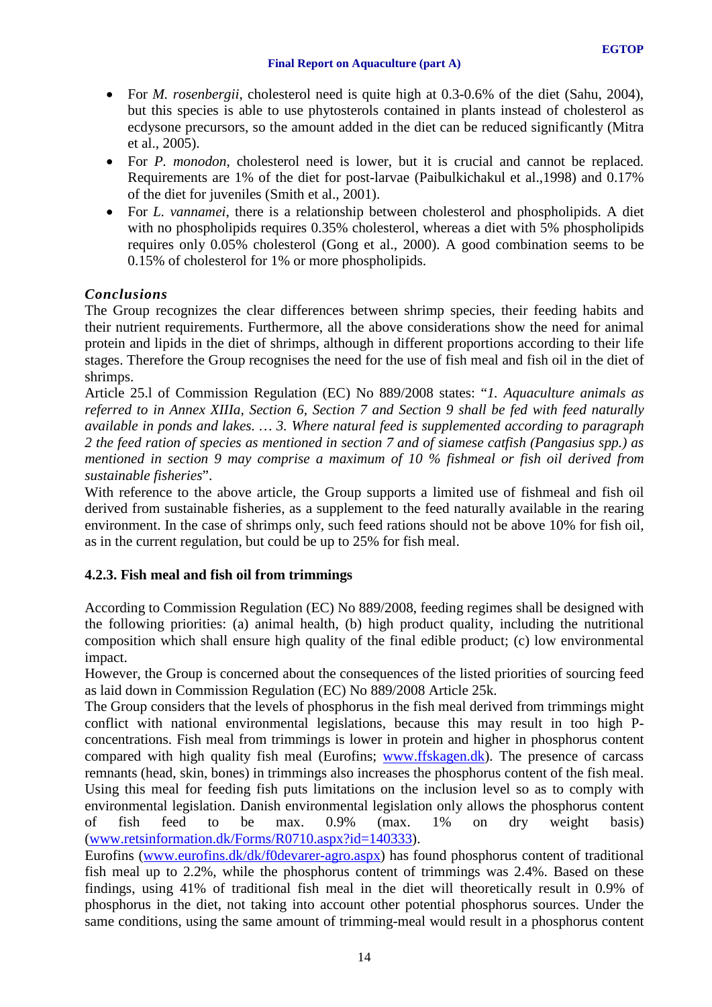- For *M. rosenbergii*, cholesterol need is quite high at 0.3-0.6% of the diet (Sahu, 2004), but this species is able to use phytosterols contained in plants instead of cholesterol as ecdysone precursors, so the amount added in the diet can be reduced significantly (Mitra et al., 2005).
- For *P. monodon,* cholesterol need is lower, but it is crucial and cannot be replaced. Requirements are 1% of the diet for post-larvae (Paibulkichakul et al.,1998) and 0.17% of the diet for juveniles (Smith et al., 2001).
- For *L. vannamei*, there is a relationship between cholesterol and phospholipids. A diet with no phospholipids requires 0.35% cholesterol, whereas a diet with 5% phospholipids requires only 0.05% cholesterol (Gong et al., 2000). A good combination seems to be 0.15% of cholesterol for 1% or more phospholipids.

# *Conclusions*

The Group recognizes the clear differences between shrimp species, their feeding habits and their nutrient requirements. Furthermore, all the above considerations show the need for animal protein and lipids in the diet of shrimps, although in different proportions according to their life stages. Therefore the Group recognises the need for the use of fish meal and fish oil in the diet of shrimps.

Article 25.l of Commission Regulation (EC) No 889/2008 states: "*1. Aquaculture animals as referred to in Annex XIIIa, Section 6, Section 7 and Section 9 shall be fed with feed naturally available in ponds and lakes. … 3. Where natural feed is supplemented according to paragraph 2 the feed ration of species as mentioned in section 7 and of siamese catfish (Pangasius spp.) as mentioned in section 9 may comprise a maximum of 10 % fishmeal or fish oil derived from sustainable fisheries*".

With reference to the above article, the Group supports a limited use of fishmeal and fish oil derived from sustainable fisheries, as a supplement to the feed naturally available in the rearing environment. In the case of shrimps only, such feed rations should not be above 10% for fish oil, as in the current regulation, but could be up to 25% for fish meal.

# <span id="page-13-0"></span>**4.2.3. Fish meal and fish oil from trimmings**

According to Commission Regulation (EC) No 889/2008, feeding regimes shall be designed with the following priorities: (a) animal health, (b) high product quality, including the nutritional composition which shall ensure high quality of the final edible product; (c) low environmental impact.

However, the Group is concerned about the consequences of the listed priorities of sourcing feed as laid down in Commission Regulation (EC) No 889/2008 Article 25k.

The Group considers that the levels of phosphorus in the fish meal derived from trimmings might conflict with national environmental legislations, because this may result in too high Pconcentrations. Fish meal from trimmings is lower in protein and higher in phosphorus content compared with high quality fish meal (Eurofins; [www.ffskagen.dk\)](http://www.ffskagen.dk/). The presence of carcass remnants (head, skin, bones) in trimmings also increases the phosphorus content of the fish meal. Using this meal for feeding fish puts limitations on the inclusion level so as to comply with environmental legislation. Danish environmental legislation only allows the phosphorus content of fish feed to be max. 0.9% (max. 1% on dry weight basis) [\(www.retsinformation.dk/Forms/R0710.aspx?id=140333\)](http://www.retsinformation.dk/Forms/R0710.aspx?id=140333).

Eurofins [\(www.eurofins.dk/dk/f0devarer-agro.aspx\)](http://www.eurofins.dk/dk/f0devarer-agro.aspx) has found phosphorus content of traditional fish meal up to 2.2%, while the phosphorus content of trimmings was 2.4%. Based on these findings, using 41% of traditional fish meal in the diet will theoretically result in 0.9% of phosphorus in the diet, not taking into account other potential phosphorus sources. Under the same conditions, using the same amount of trimming-meal would result in a phosphorus content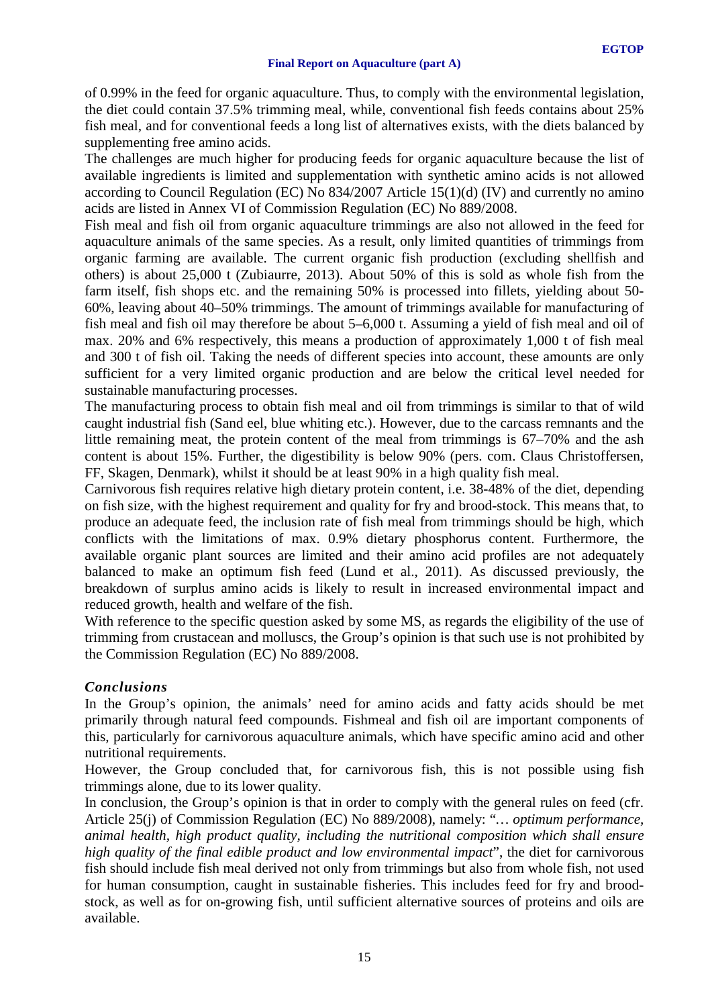of 0.99% in the feed for organic aquaculture. Thus, to comply with the environmental legislation, the diet could contain 37.5% trimming meal, while, conventional fish feeds contains about 25% fish meal, and for conventional feeds a long list of alternatives exists, with the diets balanced by supplementing free amino acids.

The challenges are much higher for producing feeds for organic aquaculture because the list of available ingredients is limited and supplementation with synthetic amino acids is not allowed according to Council Regulation (EC) No 834/2007 Article 15(1)(d) (IV) and currently no amino acids are listed in Annex VI of Commission Regulation (EC) No 889/2008.

Fish meal and fish oil from organic aquaculture trimmings are also not allowed in the feed for aquaculture animals of the same species. As a result, only limited quantities of trimmings from organic farming are available. The current organic fish production (excluding shellfish and others) is about 25,000 t (Zubiaurre, 2013). About 50% of this is sold as whole fish from the farm itself, fish shops etc. and the remaining 50% is processed into fillets, yielding about 50- 60%, leaving about 40–50% trimmings. The amount of trimmings available for manufacturing of fish meal and fish oil may therefore be about 5–6,000 t. Assuming a yield of fish meal and oil of max. 20% and 6% respectively, this means a production of approximately 1,000 t of fish meal and 300 t of fish oil. Taking the needs of different species into account, these amounts are only sufficient for a very limited organic production and are below the critical level needed for sustainable manufacturing processes.

The manufacturing process to obtain fish meal and oil from trimmings is similar to that of wild caught industrial fish (Sand eel, blue whiting etc.). However, due to the carcass remnants and the little remaining meat, the protein content of the meal from trimmings is 67–70% and the ash content is about 15%. Further, the digestibility is below 90% (pers. com. Claus Christoffersen, FF, Skagen, Denmark), whilst it should be at least 90% in a high quality fish meal.

Carnivorous fish requires relative high dietary protein content, i.e. 38-48% of the diet, depending on fish size, with the highest requirement and quality for fry and brood-stock. This means that, to produce an adequate feed, the inclusion rate of fish meal from trimmings should be high, which conflicts with the limitations of max. 0.9% dietary phosphorus content. Furthermore, the available organic plant sources are limited and their amino acid profiles are not adequately balanced to make an optimum fish feed (Lund et al., 2011). As discussed previously, the breakdown of surplus amino acids is likely to result in increased environmental impact and reduced growth, health and welfare of the fish.

With reference to the specific question asked by some MS, as regards the eligibility of the use of trimming from crustacean and molluscs, the Group's opinion is that such use is not prohibited by the Commission Regulation (EC) No 889/2008.

# *Conclusions*

In the Group's opinion, the animals' need for amino acids and fatty acids should be met primarily through natural feed compounds. Fishmeal and fish oil are important components of this, particularly for carnivorous aquaculture animals, which have specific amino acid and other nutritional requirements.

However, the Group concluded that, for carnivorous fish, this is not possible using fish trimmings alone, due to its lower quality.

In conclusion, the Group's opinion is that in order to comply with the general rules on feed (cfr. Article 25(j) of Commission Regulation (EC) No 889/2008), namely: "*… optimum performance, animal health, high product quality, including the nutritional composition which shall ensure high quality of the final edible product and low environmental impact*", the diet for carnivorous fish should include fish meal derived not only from trimmings but also from whole fish, not used for human consumption, caught in sustainable fisheries. This includes feed for fry and broodstock, as well as for on-growing fish, until sufficient alternative sources of proteins and oils are available.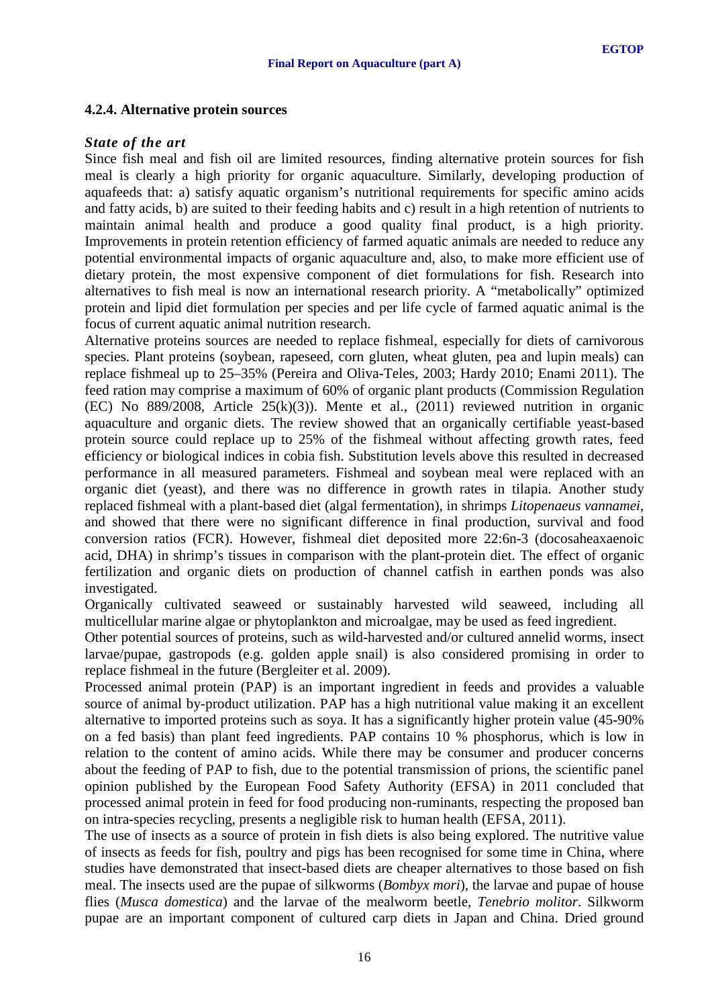#### <span id="page-15-0"></span>**4.2.4. Alternative protein sources**

#### *State of the art*

Since fish meal and fish oil are limited resources, finding alternative protein sources for fish meal is clearly a high priority for organic aquaculture. Similarly, developing production of aquafeeds that: a) satisfy aquatic organism's nutritional requirements for specific amino acids and fatty acids, b) are suited to their feeding habits and c) result in a high retention of nutrients to maintain animal health and produce a good quality final product, is a high priority. Improvements in protein retention efficiency of farmed aquatic animals are needed to reduce any potential environmental impacts of organic aquaculture and, also, to make more efficient use of dietary protein, the most expensive component of diet formulations for fish. Research into alternatives to fish meal is now an international research priority. A "metabolically" optimized protein and lipid diet formulation per species and per life cycle of farmed aquatic animal is the focus of current aquatic animal nutrition research.

Alternative proteins sources are needed to replace fishmeal, especially for diets of carnivorous species. Plant proteins (soybean, rapeseed, corn gluten, wheat gluten, pea and lupin meals) can replace fishmeal up to 25–35% (Pereira and Oliva-Teles, 2003; Hardy 2010; Enami 2011). The feed ration may comprise a maximum of 60% of organic plant products (Commission Regulation (EC) No 889/2008, Article 25(k)(3)). Mente et al., (2011) reviewed nutrition in organic aquaculture and organic diets. The review showed that an organically certifiable yeast-based protein source could replace up to 25% of the fishmeal without affecting growth rates, feed efficiency or biological indices in cobia fish. Substitution levels above this resulted in decreased performance in all measured parameters. Fishmeal and soybean meal were replaced with an organic diet (yeast), and there was no difference in growth rates in tilapia. Another study replaced fishmeal with a plant-based diet (algal fermentation), in shrimps *Litopenaeus vannamei*, and showed that there were no significant difference in final production, survival and food conversion ratios (FCR). However, fishmeal diet deposited more 22:6n-3 (docosaheaxaenoic acid, DHA) in shrimp's tissues in comparison with the plant-protein diet. The effect of organic fertilization and organic diets on production of channel catfish in earthen ponds was also investigated.

Organically cultivated seaweed or sustainably harvested wild seaweed, including all multicellular marine algae or phytoplankton and microalgae, may be used as feed ingredient.

Other potential sources of proteins, such as wild-harvested and/or cultured annelid worms, insect larvae/pupae, gastropods (e.g. golden apple snail) is also considered promising in order to replace fishmeal in the future (Bergleiter et al. 2009).

Processed animal protein (PAP) is an important ingredient in feeds and provides a valuable source of animal by-product utilization. PAP has a high nutritional value making it an excellent alternative to imported proteins such as soya. It has a significantly higher protein value (45-90% on a fed basis) than plant feed ingredients. PAP contains 10 % phosphorus, which is low in relation to the content of amino acids. While there may be consumer and producer concerns about the feeding of PAP to fish, due to the potential transmission of prions, the scientific panel opinion published by the European Food Safety Authority (EFSA) in 2011 concluded that processed animal protein in feed for food producing non-ruminants, respecting the proposed ban on intra-species recycling, presents a negligible risk to human health (EFSA, 2011).

The use of insects as a source of protein in fish diets is also being explored. The nutritive value of insects as feeds for fish, poultry and pigs has been recognised for some time in China, where studies have demonstrated that insect-based diets are cheaper alternatives to those based on fish meal. The insects used are the pupae of silkworms (*Bombyx mori*), the larvae and pupae of house flies (*Musca domestica*) and the larvae of the mealworm beetle, *Tenebrio molitor*. Silkworm pupae are an important component of cultured carp diets in Japan and China. Dried ground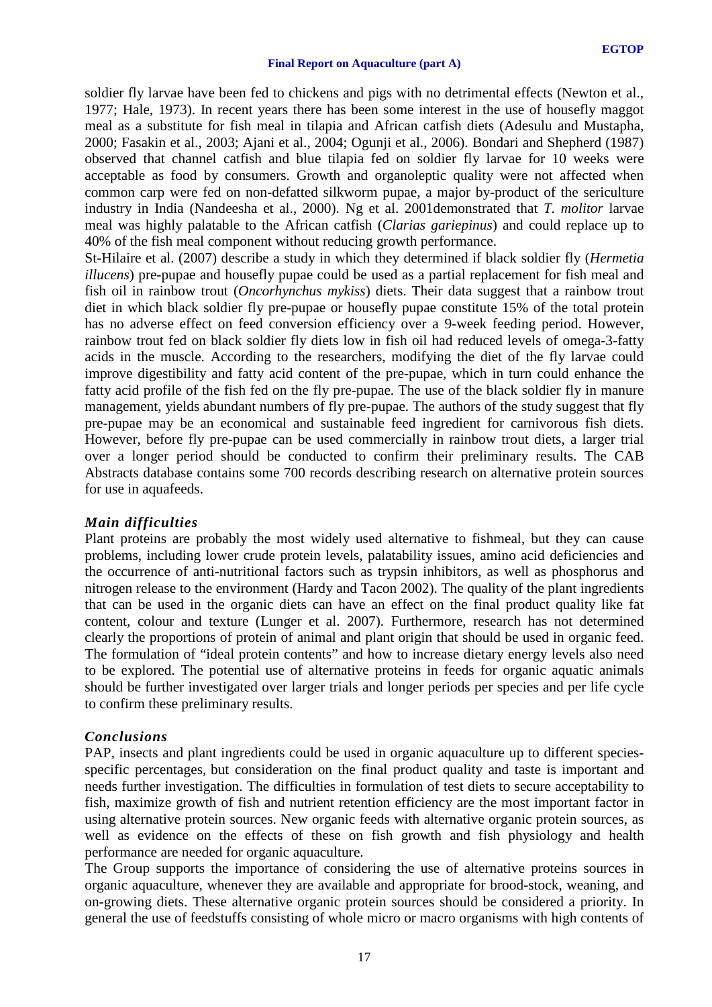soldier fly larvae have been fed to chickens and pigs with no detrimental effects (Newton et al., 1977; Hale, 1973). In recent years there has been some interest in the use of housefly maggot meal as a substitute for fish meal in tilapia and African catfish diets (Adesulu and Mustapha, 2000; Fasakin et al., 2003; Ajani et al., 2004; Ogunji et al., 2006). Bondari and Shepherd (1987) observed that channel catfish and blue tilapia fed on soldier fly larvae for 10 weeks were acceptable as food by consumers. Growth and organoleptic quality were not affected when common carp were fed on non-defatted silkworm pupae, a major by-product of the sericulture industry in India (Nandeesha et al., 2000). Ng et al. 2001demonstrated that *T. molitor* larvae meal was highly palatable to the African catfish (*Clarias gariepinus*) and could replace up to 40% of the fish meal component without reducing growth performance.

St-Hilaire et al. (2007) describe a study in which they determined if black soldier fly (*Hermetia illucens*) pre-pupae and housefly pupae could be used as a partial replacement for fish meal and fish oil in rainbow trout (*Oncorhynchus mykiss*) diets. Their data suggest that a rainbow trout diet in which black soldier fly pre-pupae or housefly pupae constitute 15% of the total protein has no adverse effect on feed conversion efficiency over a 9-week feeding period. However, rainbow trout fed on black soldier fly diets low in fish oil had reduced levels of omega-3-fatty acids in the muscle. According to the researchers, modifying the diet of the fly larvae could improve digestibility and fatty acid content of the pre-pupae, which in turn could enhance the fatty acid profile of the fish fed on the fly pre-pupae. The use of the black soldier fly in manure management, yields abundant numbers of fly pre-pupae. The authors of the study suggest that fly pre-pupae may be an economical and sustainable feed ingredient for carnivorous fish diets. However, before fly pre-pupae can be used commercially in rainbow trout diets, a larger trial over a longer period should be conducted to confirm their preliminary results. The CAB Abstracts database contains some 700 records describing research on alternative protein sources for use in aquafeeds.

#### *Main difficulties*

Plant proteins are probably the most widely used alternative to fishmeal, but they can cause problems, including lower crude protein levels, palatability issues, amino acid deficiencies and the occurrence of anti-nutritional factors such as trypsin inhibitors, as well as phosphorus and nitrogen release to the environment (Hardy and Tacon 2002). The quality of the plant ingredients that can be used in the organic diets can have an effect on the final product quality like fat content, colour and texture (Lunger et al. 2007). Furthermore, research has not determined clearly the proportions of protein of animal and plant origin that should be used in organic feed. The formulation of "ideal protein contents" and how to increase dietary energy levels also need to be explored. The potential use of alternative proteins in feeds for organic aquatic animals should be further investigated over larger trials and longer periods per species and per life cycle to confirm these preliminary results.

#### *Conclusions*

PAP, insects and plant ingredients could be used in organic aquaculture up to different speciesspecific percentages, but consideration on the final product quality and taste is important and needs further investigation. The difficulties in formulation of test diets to secure acceptability to fish, maximize growth of fish and nutrient retention efficiency are the most important factor in using alternative protein sources. New organic feeds with alternative organic protein sources, as well as evidence on the effects of these on fish growth and fish physiology and health performance are needed for organic aquaculture.

The Group supports the importance of considering the use of alternative proteins sources in organic aquaculture, whenever they are available and appropriate for brood-stock, weaning, and on-growing diets. These alternative organic protein sources should be considered a priority. In general the use of feedstuffs consisting of whole micro or macro organisms with high contents of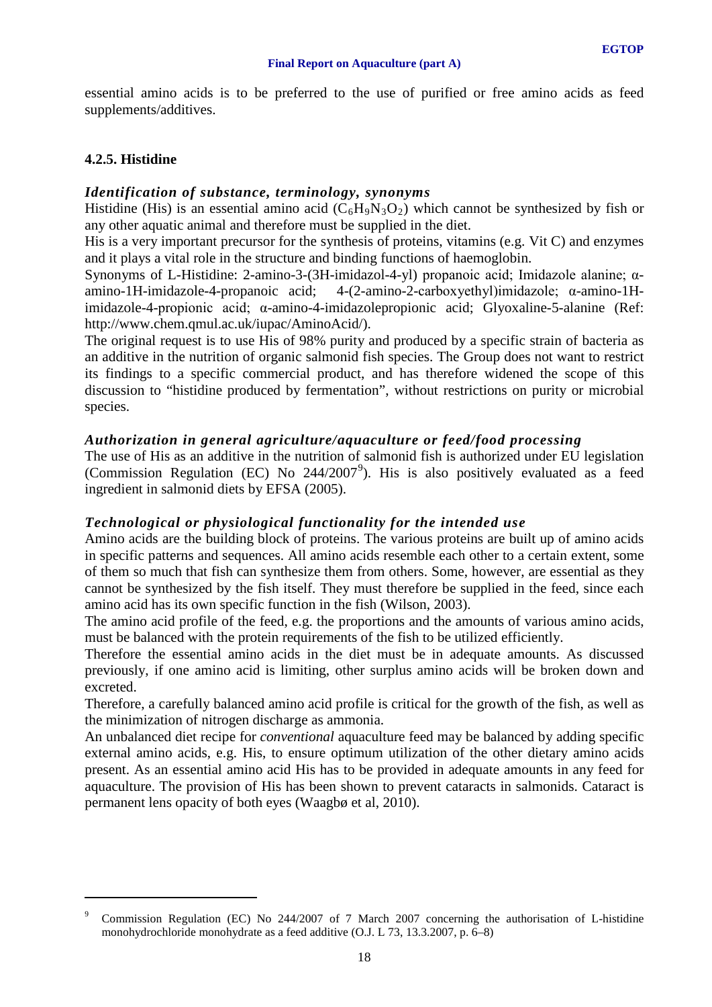essential amino acids is to be preferred to the use of purified or free amino acids as feed supplements/additives.

# <span id="page-17-0"></span>**4.2.5. Histidine**

<u>.</u>

# *Identification of substance, terminology, synonyms*

Histidine (His) is an essential amino acid  $(C_6H_9N_3O_2)$  which cannot be synthesized by fish or any other aquatic animal and therefore must be supplied in the diet.

His is a very important precursor for the synthesis of proteins, vitamins (e.g. Vit C) and enzymes and it plays a vital role in the structure and binding functions of haemoglobin.

Synonyms of L-Histidine: 2-amino-3-(3H-imidazol-4-yl) propanoic acid; Imidazole alanine; αamino-1H-imidazole-4-propanoic acid; 4-(2-amino-2-carboxyethyl)imidazole; α-amino-1Himidazole-4-propionic acid; α-amino-4-imidazolepropionic acid; Glyoxaline-5-alanine (Ref: http://www.chem.qmul.ac.uk/iupac/AminoAcid/).

The original request is to use His of 98% purity and produced by a specific strain of bacteria as an additive in the nutrition of organic salmonid fish species. The Group does not want to restrict its findings to a specific commercial product, and has therefore widened the scope of this discussion to "histidine produced by fermentation", without restrictions on purity or microbial species.

# *Authorization in general agriculture/aquaculture or feed/food processing*

The use of His as an additive in the nutrition of salmonid fish is authorized under EU legislation (Commission Regulation (EC) No  $244/2007^9$  $244/2007^9$ ). His is also positively evaluated as a feed ingredient in salmonid diets by EFSA (2005).

# *Technological or physiological functionality for the intended use*

Amino acids are the building block of proteins. The various proteins are built up of amino acids in specific patterns and sequences. All amino acids resemble each other to a certain extent, some of them so much that fish can synthesize them from others. Some, however, are essential as they cannot be synthesized by the fish itself. They must therefore be supplied in the feed, since each amino acid has its own specific function in the fish (Wilson, 2003).

The amino acid profile of the feed, e.g. the proportions and the amounts of various amino acids, must be balanced with the protein requirements of the fish to be utilized efficiently.

Therefore the essential amino acids in the diet must be in adequate amounts. As discussed previously, if one amino acid is limiting, other surplus amino acids will be broken down and excreted.

Therefore, a carefully balanced amino acid profile is critical for the growth of the fish, as well as the minimization of nitrogen discharge as ammonia.

An unbalanced diet recipe for *conventional* aquaculture feed may be balanced by adding specific external amino acids, e.g. His, to ensure optimum utilization of the other dietary amino acids present. As an essential amino acid His has to be provided in adequate amounts in any feed for aquaculture. The provision of His has been shown to prevent cataracts in salmonids. Cataract is permanent lens opacity of both eyes (Waagbø et al, 2010).

<span id="page-17-1"></span><sup>9</sup> Commission Regulation (EC) No 244/2007 of 7 March 2007 concerning the authorisation of L-histidine monohydrochloride monohydrate as a feed additive (O.J. L 73, 13.3.2007, p. 6–8)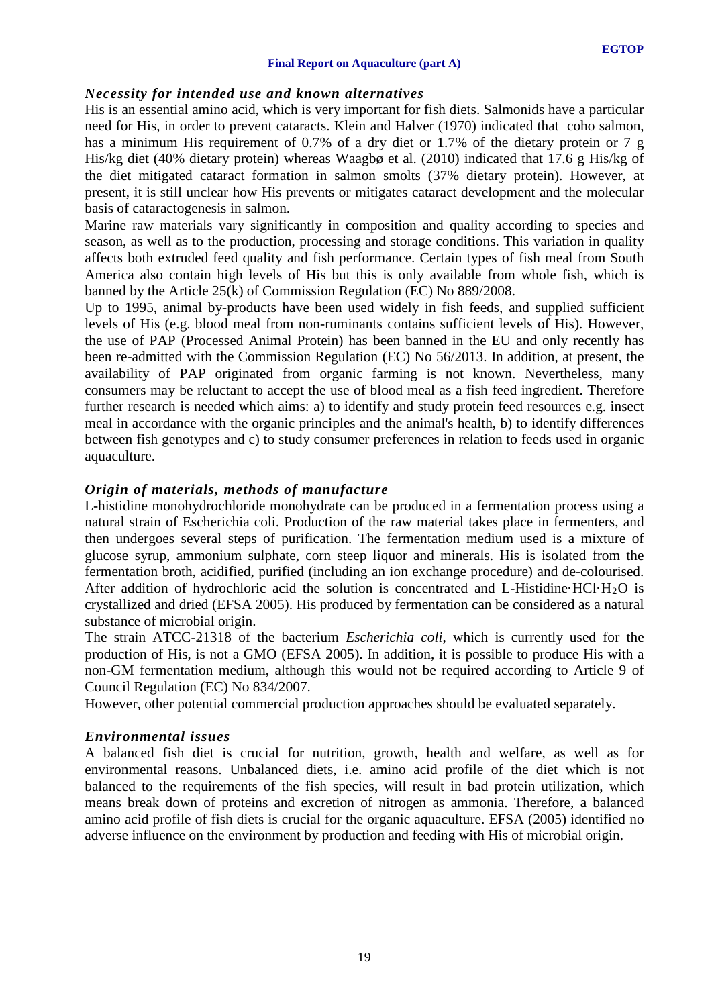# *Necessity for intended use and known alternatives*

His is an essential amino acid, which is very important for fish diets. Salmonids have a particular need for His, in order to prevent cataracts. Klein and Halver (1970) indicated that coho salmon, has a minimum His requirement of 0.7% of a dry diet or 1.7% of the dietary protein or 7 g His/kg diet (40% dietary protein) whereas Waagbø et al. (2010) indicated that 17.6 g His/kg of the diet mitigated cataract formation in salmon smolts (37% dietary protein). However, at present, it is still unclear how His prevents or mitigates cataract development and the molecular basis of cataractogenesis in salmon.

Marine raw materials vary significantly in composition and quality according to species and season, as well as to the production, processing and storage conditions. This variation in quality affects both extruded feed quality and fish performance. Certain types of fish meal from South America also contain high levels of His but this is only available from whole fish, which is banned by the Article 25(k) of Commission Regulation (EC) No 889/2008.

Up to 1995, animal by-products have been used widely in fish feeds, and supplied sufficient levels of His (e.g. blood meal from non-ruminants contains sufficient levels of His). However, the use of PAP (Processed Animal Protein) has been banned in the EU and only recently has been re-admitted with the Commission Regulation (EC) No 56/2013. In addition, at present, the availability of PAP originated from organic farming is not known. Nevertheless, many consumers may be reluctant to accept the use of blood meal as a fish feed ingredient. Therefore further research is needed which aims: a) to identify and study protein feed resources e.g. insect meal in accordance with the organic principles and the animal's health, b) to identify differences between fish genotypes and c) to study consumer preferences in relation to feeds used in organic aquaculture.

# *Origin of materials, methods of manufacture*

L-histidine monohydrochloride monohydrate can be produced in a fermentation process using a natural strain of Escherichia coli. Production of the raw material takes place in fermenters, and then undergoes several steps of purification. The fermentation medium used is a mixture of glucose syrup, ammonium sulphate, corn steep liquor and minerals. His is isolated from the fermentation broth, acidified, purified (including an ion exchange procedure) and de-colourised. After addition of hydrochloric acid the solution is concentrated and L-Histidine·HCl·H<sub>2</sub>O is crystallized and dried (EFSA 2005). His produced by fermentation can be considered as a natural substance of microbial origin.

The strain ATCC-21318 of the bacterium *Escherichia coli*, which is currently used for the production of His, is not a GMO (EFSA 2005). In addition, it is possible to produce His with a non-GM fermentation medium, although this would not be required according to Article 9 of Council Regulation (EC) No 834/2007.

However, other potential commercial production approaches should be evaluated separately.

# *Environmental issues*

A balanced fish diet is crucial for nutrition, growth, health and welfare, as well as for environmental reasons. Unbalanced diets, i.e. amino acid profile of the diet which is not balanced to the requirements of the fish species, will result in bad protein utilization, which means break down of proteins and excretion of nitrogen as ammonia. Therefore, a balanced amino acid profile of fish diets is crucial for the organic aquaculture. EFSA (2005) identified no adverse influence on the environment by production and feeding with His of microbial origin.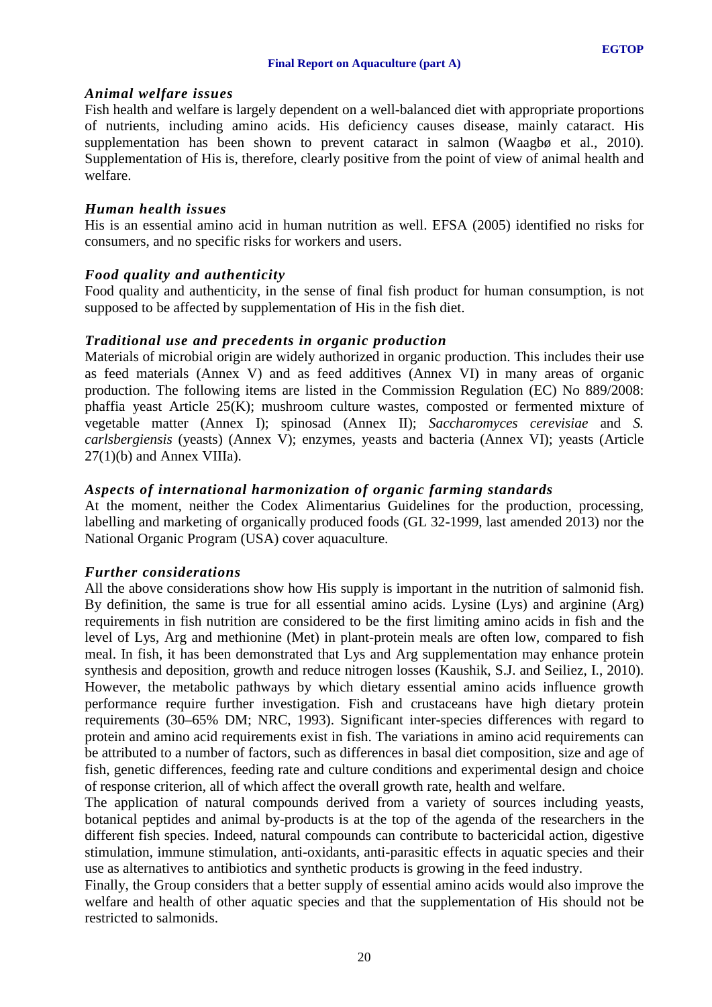## *Animal welfare issues*

Fish health and welfare is largely dependent on a well-balanced diet with appropriate proportions of nutrients, including amino acids. His deficiency causes disease, mainly cataract. His supplementation has been shown to prevent cataract in salmon (Waagbø et al., 2010). Supplementation of His is, therefore, clearly positive from the point of view of animal health and welfare.

## *Human health issues*

His is an essential amino acid in human nutrition as well. EFSA (2005) identified no risks for consumers, and no specific risks for workers and users.

# *Food quality and authenticity*

Food quality and authenticity, in the sense of final fish product for human consumption, is not supposed to be affected by supplementation of His in the fish diet.

### *Traditional use and precedents in organic production*

Materials of microbial origin are widely authorized in organic production. This includes their use as feed materials (Annex V) and as feed additives (Annex VI) in many areas of organic production. The following items are listed in the Commission Regulation (EC) No 889/2008: phaffia yeast Article 25(K); mushroom culture wastes, composted or fermented mixture of vegetable matter (Annex I); spinosad (Annex II); *Saccharomyces cerevisiae* and *S. carlsbergiensis* (yeasts) (Annex V); enzymes, yeasts and bacteria (Annex VI); yeasts (Article  $27(1)(b)$  and Annex VIIIa).

# *Aspects of international harmonization of organic farming standards*

At the moment, neither the Codex Alimentarius Guidelines for the production, processing, labelling and marketing of organically produced foods (GL 32-1999, last amended 2013) nor the National Organic Program (USA) cover aquaculture.

# *Further considerations*

All the above considerations show how His supply is important in the nutrition of salmonid fish. By definition, the same is true for all essential amino acids. Lysine (Lys) and arginine (Arg) requirements in fish nutrition are considered to be the first limiting amino acids in fish and the level of Lys, Arg and methionine (Met) in plant-protein meals are often low, compared to fish meal. In fish, it has been demonstrated that Lys and Arg supplementation may enhance protein synthesis and deposition, growth and reduce nitrogen losses (Kaushik, S.J. and Seiliez, I., 2010). However, the metabolic pathways by which dietary essential amino acids influence growth performance require further investigation. Fish and crustaceans have high dietary protein requirements (30–65% DM; NRC, 1993). Significant inter-species differences with regard to protein and amino acid requirements exist in fish. The variations in amino acid requirements can be attributed to a number of factors, such as differences in basal diet composition, size and age of fish, genetic differences, feeding rate and culture conditions and experimental design and choice of response criterion, all of which affect the overall growth rate, health and welfare.

The application of natural compounds derived from a variety of sources including yeasts, botanical peptides and animal by-products is at the top of the agenda of the researchers in the different fish species. Indeed, natural compounds can contribute to bactericidal action, digestive stimulation, immune stimulation, anti-oxidants, anti-parasitic effects in aquatic species and their use as alternatives to antibiotics and synthetic products is growing in the feed industry.

Finally, the Group considers that a better supply of essential amino acids would also improve the welfare and health of other aquatic species and that the supplementation of His should not be restricted to salmonids.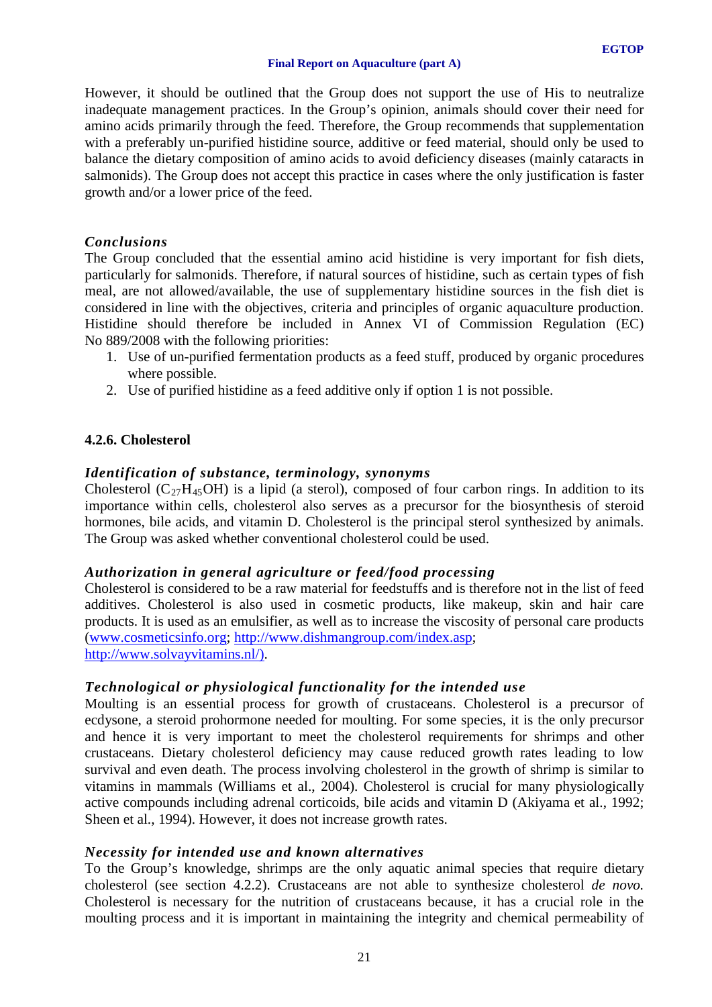However, it should be outlined that the Group does not support the use of His to neutralize inadequate management practices. In the Group's opinion, animals should cover their need for amino acids primarily through the feed. Therefore, the Group recommends that supplementation with a preferably un-purified histidine source, additive or feed material, should only be used to balance the dietary composition of amino acids to avoid deficiency diseases (mainly cataracts in salmonids). The Group does not accept this practice in cases where the only justification is faster growth and/or a lower price of the feed.

## *Conclusions*

The Group concluded that the essential amino acid histidine is very important for fish diets, particularly for salmonids. Therefore, if natural sources of histidine, such as certain types of fish meal, are not allowed/available, the use of supplementary histidine sources in the fish diet is considered in line with the objectives, criteria and principles of organic aquaculture production. Histidine should therefore be included in Annex VI of Commission Regulation (EC) No 889/2008 with the following priorities:

- 1. Use of un-purified fermentation products as a feed stuff, produced by organic procedures where possible.
- 2. Use of purified histidine as a feed additive only if option 1 is not possible.

# <span id="page-20-0"></span>**4.2.6. Cholesterol**

### *Identification of substance, terminology, synonyms*

Cholesterol ( $C_{27}H_{45}OH$ ) is a lipid (a sterol), composed of four carbon rings. In addition to its importance within cells, cholesterol also serves as a precursor for the biosynthesis of steroid hormones, bile acids, and vitamin D. Cholesterol is the principal sterol synthesized by animals. The Group was asked whether conventional cholesterol could be used.

# *Authorization in general agriculture or feed/food processing*

Cholesterol is considered to be a raw material for feedstuffs and is therefore not in the list of feed additives. Cholesterol is also used in cosmetic products, like makeup, skin and hair care products. It is used as an emulsifier, as well as to increase the viscosity of personal care products [\(www.cosmeticsinfo.org;](http://www.cosmeticsinfo.org/) [http://www.dishmangroup.com/index.asp;](http://www.dishmangroup.com/index.asp) [http://www.solvayvitamins.nl/\)](http://www.solvayvitamins.nl/).

# *Technological or physiological functionality for the intended use*

Moulting is an essential process for growth of crustaceans. Cholesterol is a precursor of ecdysone, a steroid prohormone needed for moulting. For some species, it is the only precursor and hence it is very important to meet the cholesterol requirements for shrimps and other crustaceans. Dietary cholesterol deficiency may cause reduced growth rates leading to low survival and even death. The process involving cholesterol in the growth of shrimp is similar to vitamins in mammals (Williams et al., 2004). Cholesterol is crucial for many physiologically active compounds including adrenal corticoids, bile acids and vitamin D (Akiyama et al., 1992; Sheen et al., 1994). However, it does not increase growth rates.

#### *Necessity for intended use and known alternatives*

To the Group's knowledge, shrimps are the only aquatic animal species that require dietary cholesterol (see section 4.2.2). Crustaceans are not able to synthesize cholesterol *de novo.* Cholesterol is necessary for the nutrition of crustaceans because, it has a crucial role in the moulting process and it is important in maintaining the integrity and chemical permeability of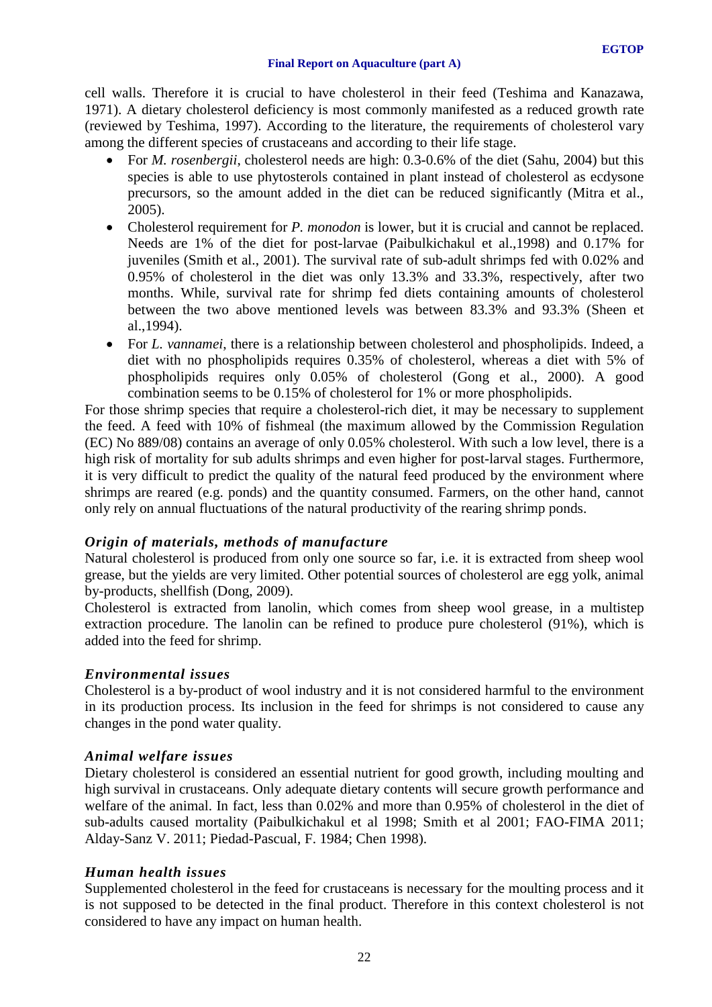cell walls. Therefore it is crucial to have cholesterol in their feed (Teshima and Kanazawa, 1971). A dietary cholesterol deficiency is most commonly manifested as a reduced growth rate (reviewed by Teshima, 1997). According to the literature, the requirements of cholesterol vary among the different species of crustaceans and according to their life stage.

- For *M. rosenbergii*, cholesterol needs are high: 0.3-0.6% of the diet (Sahu, 2004) but this species is able to use phytosterols contained in plant instead of cholesterol as ecdysone precursors, so the amount added in the diet can be reduced significantly (Mitra et al., 2005).
- Cholesterol requirement for *P. monodon* is lower, but it is crucial and cannot be replaced. Needs are 1% of the diet for post-larvae (Paibulkichakul et al.,1998) and 0.17% for juveniles (Smith et al., 2001). The survival rate of sub-adult shrimps fed with 0.02% and 0.95% of cholesterol in the diet was only 13.3% and 33.3%, respectively, after two months. While, survival rate for shrimp fed diets containing amounts of cholesterol between the two above mentioned levels was between 83.3% and 93.3% (Sheen et al.,1994).
- For *L. vannamei*, there is a relationship between cholesterol and phospholipids. Indeed, a diet with no phospholipids requires 0.35% of cholesterol, whereas a diet with 5% of phospholipids requires only 0.05% of cholesterol (Gong et al., 2000). A good combination seems to be 0.15% of cholesterol for 1% or more phospholipids.

For those shrimp species that require a cholesterol-rich diet, it may be necessary to supplement the feed. A feed with 10% of fishmeal (the maximum allowed by the Commission Regulation (EC) No 889/08) contains an average of only 0.05% cholesterol. With such a low level, there is a high risk of mortality for sub adults shrimps and even higher for post-larval stages. Furthermore, it is very difficult to predict the quality of the natural feed produced by the environment where shrimps are reared (e.g. ponds) and the quantity consumed. Farmers, on the other hand, cannot only rely on annual fluctuations of the natural productivity of the rearing shrimp ponds.

# *Origin of materials, methods of manufacture*

Natural cholesterol is produced from only one source so far, i.e. it is extracted from sheep wool grease, but the yields are very limited. Other potential sources of cholesterol are egg yolk, animal by-products, shellfish (Dong, 2009).

Cholesterol is extracted from lanolin, which comes from sheep wool grease, in a multistep extraction procedure. The lanolin can be refined to produce pure cholesterol (91%), which is added into the feed for shrimp.

#### *Environmental issues*

Cholesterol is a by-product of wool industry and it is not considered harmful to the environment in its production process. Its inclusion in the feed for shrimps is not considered to cause any changes in the pond water quality.

#### *Animal welfare issues*

Dietary cholesterol is considered an essential nutrient for good growth, including moulting and high survival in crustaceans. Only adequate dietary contents will secure growth performance and welfare of the animal. In fact, less than 0.02% and more than 0.95% of cholesterol in the diet of sub-adults caused mortality (Paibulkichakul et al 1998; Smith et al 2001; FAO-FIMA 2011; Alday-Sanz V. 2011; Piedad-Pascual, F. 1984; Chen 1998).

# *Human health issues*

Supplemented cholesterol in the feed for crustaceans is necessary for the moulting process and it is not supposed to be detected in the final product. Therefore in this context cholesterol is not considered to have any impact on human health.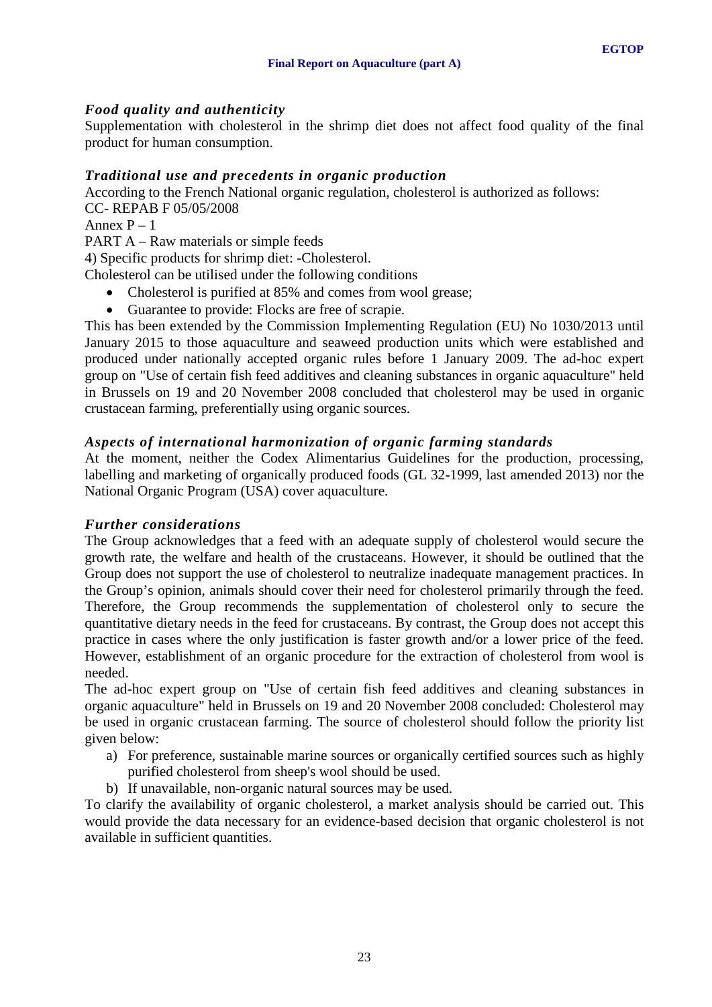# *Food quality and authenticity*

Supplementation with cholesterol in the shrimp diet does not affect food quality of the final product for human consumption.

# *Traditional use and precedents in organic production*

According to the French National organic regulation, cholesterol is authorized as follows: CC- REPAB F 05/05/2008

Annex  $P - 1$ 

PART A – Raw materials or simple feeds

4) Specific products for shrimp diet: -Cholesterol.

Cholesterol can be utilised under the following conditions

- Cholesterol is purified at 85% and comes from wool grease;
- Guarantee to provide: Flocks are free of scrapie.

This has been extended by the Commission Implementing Regulation (EU) No 1030/2013 until January 2015 to those aquaculture and seaweed production units which were established and produced under nationally accepted organic rules before 1 January 2009. The ad-hoc expert group on "Use of certain fish feed additives and cleaning substances in organic aquaculture" held in Brussels on 19 and 20 November 2008 concluded that cholesterol may be used in organic crustacean farming, preferentially using organic sources.

# *Aspects of international harmonization of organic farming standards*

At the moment, neither the Codex Alimentarius Guidelines for the production, processing, labelling and marketing of organically produced foods (GL 32-1999, last amended 2013) nor the National Organic Program (USA) cover aquaculture.

# *Further considerations*

The Group acknowledges that a feed with an adequate supply of cholesterol would secure the growth rate, the welfare and health of the crustaceans. However, it should be outlined that the Group does not support the use of cholesterol to neutralize inadequate management practices. In the Group's opinion, animals should cover their need for cholesterol primarily through the feed. Therefore, the Group recommends the supplementation of cholesterol only to secure the quantitative dietary needs in the feed for crustaceans. By contrast, the Group does not accept this practice in cases where the only justification is faster growth and/or a lower price of the feed. However, establishment of an organic procedure for the extraction of cholesterol from wool is needed.

The ad-hoc expert group on "Use of certain fish feed additives and cleaning substances in organic aquaculture" held in Brussels on 19 and 20 November 2008 concluded: Cholesterol may be used in organic crustacean farming. The source of cholesterol should follow the priority list given below:

- a) For preference, sustainable marine sources or organically certified sources such as highly purified cholesterol from sheep's wool should be used.
- b) If unavailable, non-organic natural sources may be used.

To clarify the availability of organic cholesterol, a market analysis should be carried out. This would provide the data necessary for an evidence-based decision that organic cholesterol is not available in sufficient quantities.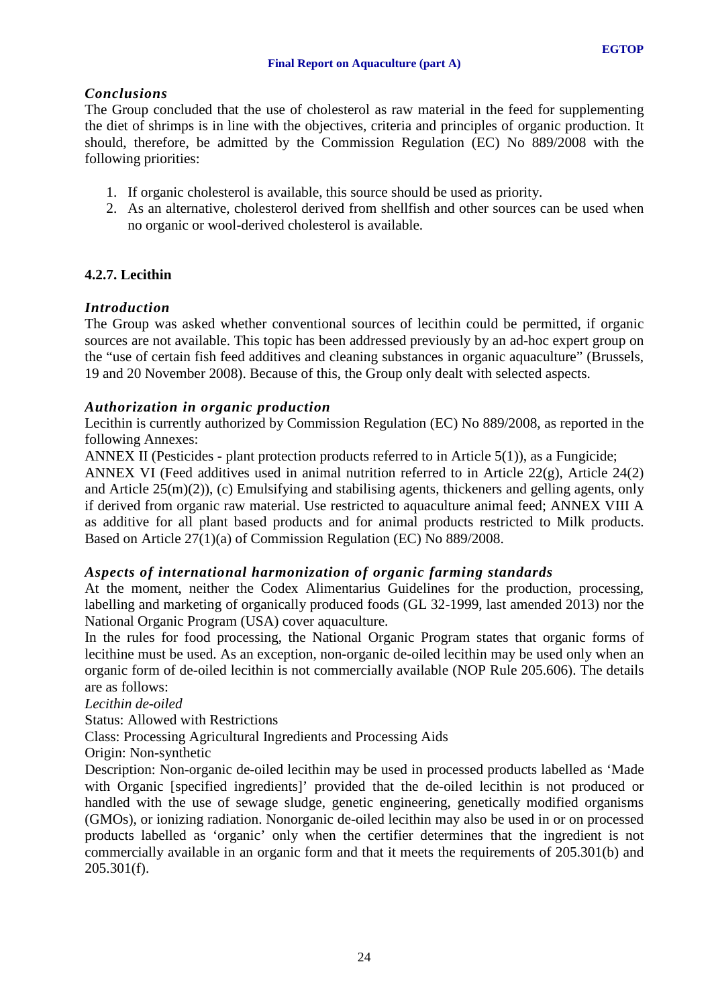# *Conclusions*

The Group concluded that the use of cholesterol as raw material in the feed for supplementing the diet of shrimps is in line with the objectives, criteria and principles of organic production. It should, therefore, be admitted by the Commission Regulation (EC) No 889/2008 with the following priorities:

- 1. If organic cholesterol is available, this source should be used as priority.
- 2. As an alternative, cholesterol derived from shellfish and other sources can be used when no organic or wool-derived cholesterol is available.

# <span id="page-23-0"></span>**4.2.7. Lecithin**

# *Introduction*

The Group was asked whether conventional sources of lecithin could be permitted, if organic sources are not available. This topic has been addressed previously by an ad-hoc expert group on the "use of certain fish feed additives and cleaning substances in organic aquaculture" (Brussels, 19 and 20 November 2008). Because of this, the Group only dealt with selected aspects.

# *Authorization in organic production*

Lecithin is currently authorized by Commission Regulation (EC) No 889/2008, as reported in the following Annexes:

ANNEX II (Pesticides - plant protection products referred to in Article 5(1)), as a Fungicide;

ANNEX VI (Feed additives used in animal nutrition referred to in Article 22(g), Article 24(2) and Article  $25(m)(2)$ ), (c) Emulsifying and stabilising agents, thickeners and gelling agents, only if derived from organic raw material. Use restricted to aquaculture animal feed; ANNEX VIII A as additive for all plant based products and for animal products restricted to Milk products. Based on Article 27(1)(a) of Commission Regulation (EC) No 889/2008.

# *Aspects of international harmonization of organic farming standards*

At the moment, neither the Codex Alimentarius Guidelines for the production, processing, labelling and marketing of organically produced foods (GL 32-1999, last amended 2013) nor the National Organic Program (USA) cover aquaculture.

In the rules for food processing, the National Organic Program states that organic forms of lecithine must be used. As an exception, non-organic de-oiled lecithin may be used only when an organic form of de-oiled lecithin is not commercially available (NOP Rule 205.606). The details are as follows:

*Lecithin de-oiled*

Status: Allowed with Restrictions

Class: Processing Agricultural Ingredients and Processing Aids

Origin: Non-synthetic

Description: Non-organic de-oiled lecithin may be used in processed products labelled as 'Made with Organic [specified ingredients]' provided that the de-oiled lecithin is not produced or handled with the use of sewage sludge, genetic engineering, genetically modified organisms (GMOs), or ionizing radiation. Nonorganic de-oiled lecithin may also be used in or on processed products labelled as 'organic' only when the certifier determines that the ingredient is not commercially available in an organic form and that it meets the requirements of 205.301(b) and  $205.301(f)$ .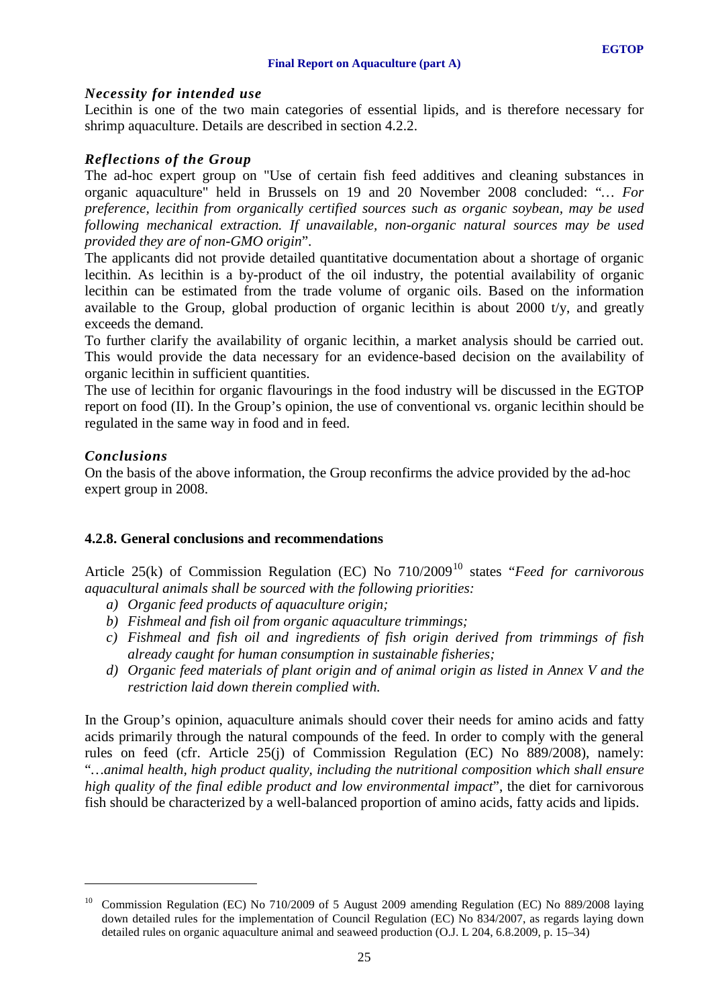#### **Final Report on Aquaculture (part A)**

# *Necessity for intended use*

Lecithin is one of the two main categories of essential lipids, and is therefore necessary for shrimp aquaculture. Details are described in section 4.2.2.

# *Reflections of the Group*

The ad-hoc expert group on "Use of certain fish feed additives and cleaning substances in organic aquaculture" held in Brussels on 19 and 20 November 2008 concluded: "*… For preference, lecithin from organically certified sources such as organic soybean, may be used following mechanical extraction. If unavailable, non-organic natural sources may be used provided they are of non-GMO origin*".

The applicants did not provide detailed quantitative documentation about a shortage of organic lecithin. As lecithin is a by-product of the oil industry, the potential availability of organic lecithin can be estimated from the trade volume of organic oils. Based on the information available to the Group, global production of organic lecithin is about 2000 t/y, and greatly exceeds the demand.

To further clarify the availability of organic lecithin, a market analysis should be carried out. This would provide the data necessary for an evidence-based decision on the availability of organic lecithin in sufficient quantities.

The use of lecithin for organic flavourings in the food industry will be discussed in the EGTOP report on food (II). In the Group's opinion, the use of conventional vs. organic lecithin should be regulated in the same way in food and in feed.

# *Conclusions*

-

On the basis of the above information, the Group reconfirms the advice provided by the ad-hoc expert group in 2008.

# <span id="page-24-0"></span>**4.2.8. General conclusions and recommendations**

Article 25(k) of Commission Regulation (EC) No  $710/2009^{10}$  $710/2009^{10}$  $710/2009^{10}$  states "*Feed for carnivorous aquacultural animals shall be sourced with the following priorities:*

- *a) Organic feed products of aquaculture origin;*
- *b) Fishmeal and fish oil from organic aquaculture trimmings;*
- *c) Fishmeal and fish oil and ingredients of fish origin derived from trimmings of fish already caught for human consumption in sustainable fisheries;*
- *d) Organic feed materials of plant origin and of animal origin as listed in Annex V and the restriction laid down therein complied with.*

In the Group's opinion, aquaculture animals should cover their needs for amino acids and fatty acids primarily through the natural compounds of the feed. In order to comply with the general rules on feed (cfr. Article 25(j) of Commission Regulation (EC) No 889/2008), namely: "*…animal health, high product quality, including the nutritional composition which shall ensure high quality of the final edible product and low environmental impact*", the diet for carnivorous fish should be characterized by a well-balanced proportion of amino acids, fatty acids and lipids.

<span id="page-24-1"></span><sup>&</sup>lt;sup>10</sup> Commission Regulation (EC) No 710/2009 of 5 August 2009 amending Regulation (EC) No 889/2008 laying down detailed rules for the implementation of Council Regulation (EC) No 834/2007, as regards laying down detailed rules on organic aquaculture animal and seaweed production (O.J. L 204, 6.8.2009, p. 15–34)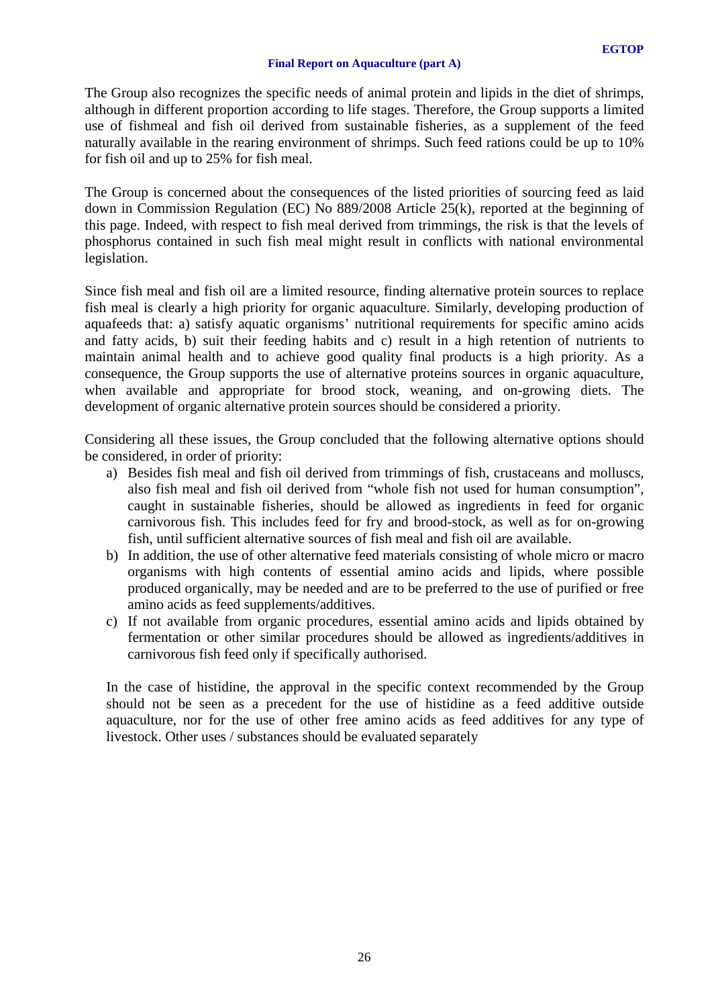The Group also recognizes the specific needs of animal protein and lipids in the diet of shrimps, although in different proportion according to life stages. Therefore, the Group supports a limited use of fishmeal and fish oil derived from sustainable fisheries, as a supplement of the feed naturally available in the rearing environment of shrimps. Such feed rations could be up to 10% for fish oil and up to 25% for fish meal.

The Group is concerned about the consequences of the listed priorities of sourcing feed as laid down in Commission Regulation (EC) No 889/2008 Article 25(k), reported at the beginning of this page. Indeed, with respect to fish meal derived from trimmings, the risk is that the levels of phosphorus contained in such fish meal might result in conflicts with national environmental legislation.

Since fish meal and fish oil are a limited resource, finding alternative protein sources to replace fish meal is clearly a high priority for organic aquaculture. Similarly, developing production of aquafeeds that: a) satisfy aquatic organisms' nutritional requirements for specific amino acids and fatty acids, b) suit their feeding habits and c) result in a high retention of nutrients to maintain animal health and to achieve good quality final products is a high priority. As a consequence, the Group supports the use of alternative proteins sources in organic aquaculture, when available and appropriate for brood stock, weaning, and on-growing diets. The development of organic alternative protein sources should be considered a priority.

Considering all these issues, the Group concluded that the following alternative options should be considered, in order of priority:

- a) Besides fish meal and fish oil derived from trimmings of fish, crustaceans and molluscs, also fish meal and fish oil derived from "whole fish not used for human consumption", caught in sustainable fisheries, should be allowed as ingredients in feed for organic carnivorous fish. This includes feed for fry and brood-stock, as well as for on-growing fish, until sufficient alternative sources of fish meal and fish oil are available.
- b) In addition, the use of other alternative feed materials consisting of whole micro or macro organisms with high contents of essential amino acids and lipids, where possible produced organically, may be needed and are to be preferred to the use of purified or free amino acids as feed supplements/additives.
- c) If not available from organic procedures, essential amino acids and lipids obtained by fermentation or other similar procedures should be allowed as ingredients/additives in carnivorous fish feed only if specifically authorised.

In the case of histidine, the approval in the specific context recommended by the Group should not be seen as a precedent for the use of histidine as a feed additive outside aquaculture, nor for the use of other free amino acids as feed additives for any type of livestock. Other uses / substances should be evaluated separately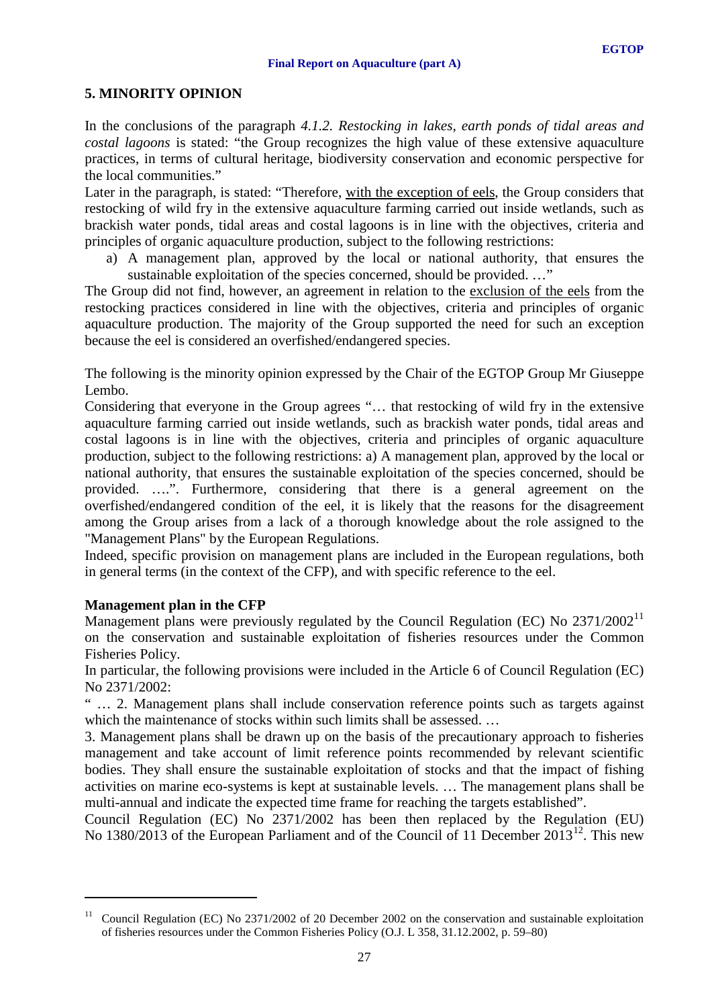# <span id="page-26-0"></span>**5. MINORITY OPINION**

In the conclusions of the paragraph *4.1.2. Restocking in lakes, earth ponds of tidal areas and costal lagoons* is stated: "the Group recognizes the high value of these extensive aquaculture practices, in terms of cultural heritage, biodiversity conservation and economic perspective for the local communities."

Later in the paragraph, is stated: "Therefore, with the exception of eels, the Group considers that restocking of wild fry in the extensive aquaculture farming carried out inside wetlands, such as brackish water ponds, tidal areas and costal lagoons is in line with the objectives, criteria and principles of organic aquaculture production, subject to the following restrictions:

a) A management plan, approved by the local or national authority, that ensures the sustainable exploitation of the species concerned, should be provided. ..."

The Group did not find, however, an agreement in relation to the exclusion of the eels from the restocking practices considered in line with the objectives, criteria and principles of organic aquaculture production. The majority of the Group supported the need for such an exception because the eel is considered an overfished/endangered species.

The following is the minority opinion expressed by the Chair of the EGTOP Group Mr Giuseppe Lembo.

Considering that everyone in the Group agrees "… that restocking of wild fry in the extensive aquaculture farming carried out inside wetlands, such as brackish water ponds, tidal areas and costal lagoons is in line with the objectives, criteria and principles of organic aquaculture production, subject to the following restrictions: a) A management plan, approved by the local or national authority, that ensures the sustainable exploitation of the species concerned, should be provided. ….". Furthermore, considering that there is a general agreement on the overfished/endangered condition of the eel, it is likely that the reasons for the disagreement among the Group arises from a lack of a thorough knowledge about the role assigned to the "Management Plans" by the European Regulations.

Indeed, specific provision on management plans are included in the European regulations, both in general terms (in the context of the CFP), and with specific reference to the eel.

# **Management plan in the CFP**

<u>.</u>

Management plans were previously regulated by the Council Regulation (EC) No 2371/2002<sup>[11](#page-26-1)</sup> on the conservation and sustainable exploitation of fisheries resources under the Common Fisheries Policy.

In particular, the following provisions were included in the Article 6 of Council Regulation (EC) No 2371/2002:

" … 2. Management plans shall include conservation reference points such as targets against which the maintenance of stocks within such limits shall be assessed. ...

3. Management plans shall be drawn up on the basis of the precautionary approach to fisheries management and take account of limit reference points recommended by relevant scientific bodies. They shall ensure the sustainable exploitation of stocks and that the impact of fishing activities on marine eco-systems is kept at sustainable levels. … The management plans shall be multi-annual and indicate the expected time frame for reaching the targets established".

<span id="page-26-2"></span>Council Regulation (EC) No 2371/2002 has been then replaced by the Regulation (EU) No 1380/2013 of the European Parliament and of the Council of 11 December 2013<sup>12</sup>. This new

<span id="page-26-1"></span><sup>&</sup>lt;sup>11</sup> Council Regulation (EC) No 2371/2002 of 20 December 2002 on the conservation and sustainable exploitation of fisheries resources under the Common Fisheries Policy (O.J. L 358, 31.12.2002, p. 59–80)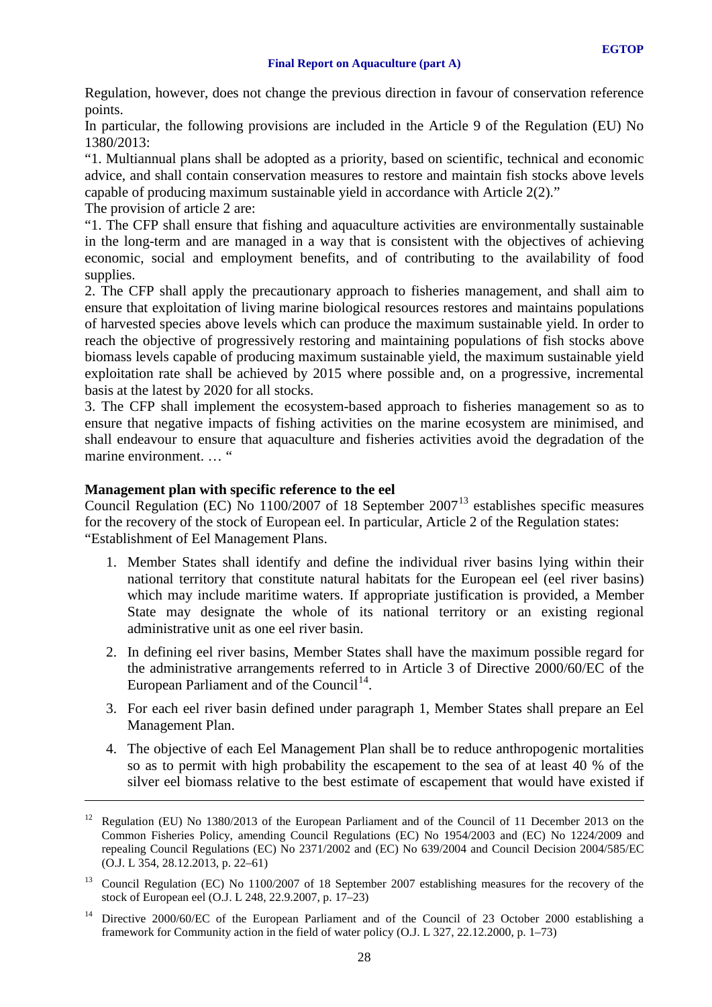Regulation, however, does not change the previous direction in favour of conservation reference points.

In particular, the following provisions are included in the Article 9 of the Regulation (EU) No 1380/2013:

"1. Multiannual plans shall be adopted as a priority, based on scientific, technical and economic advice, and shall contain conservation measures to restore and maintain fish stocks above levels capable of producing maximum sustainable yield in accordance with Article 2(2)."

The provision of article 2 are:

<u>.</u>

"1. The CFP shall ensure that fishing and aquaculture activities are environmentally sustainable in the long-term and are managed in a way that is consistent with the objectives of achieving economic, social and employment benefits, and of contributing to the availability of food supplies.

2. The CFP shall apply the precautionary approach to fisheries management, and shall aim to ensure that exploitation of living marine biological resources restores and maintains populations of harvested species above levels which can produce the maximum sustainable yield. In order to reach the objective of progressively restoring and maintaining populations of fish stocks above biomass levels capable of producing maximum sustainable yield, the maximum sustainable yield exploitation rate shall be achieved by 2015 where possible and, on a progressive, incremental basis at the latest by 2020 for all stocks.

3. The CFP shall implement the ecosystem-based approach to fisheries management so as to ensure that negative impacts of fishing activities on the marine ecosystem are minimised, and shall endeavour to ensure that aquaculture and fisheries activities avoid the degradation of the marine environment. … "

### **Management plan with specific reference to the eel**

Council Regulation (EC) No 1100/2007 of 18 September 2007[13](#page-27-0) establishes specific measures for the recovery of the stock of European eel. In particular, Article 2 of the Regulation states: "Establishment of Eel Management Plans.

- 1. Member States shall identify and define the individual river basins lying within their national territory that constitute natural habitats for the European eel (eel river basins) which may include maritime waters. If appropriate justification is provided, a Member State may designate the whole of its national territory or an existing regional administrative unit as one eel river basin.
- 2. In defining eel river basins, Member States shall have the maximum possible regard for the administrative arrangements referred to in Article 3 of Directive 2000/60/EC of the European Parliament and of the Council<sup>[14](#page-27-1)</sup>.
- 3. For each eel river basin defined under paragraph 1, Member States shall prepare an Eel Management Plan.
- 4. The objective of each Eel Management Plan shall be to reduce anthropogenic mortalities so as to permit with high probability the escapement to the sea of at least 40 % of the silver eel biomass relative to the best estimate of escapement that would have existed if

<sup>&</sup>lt;sup>12</sup> Regulation (EU) No 1380/2013 of the European Parliament and of the Council of 11 December 2013 on the Common Fisheries Policy, amending Council Regulations (EC) No 1954/2003 and (EC) No 1224/2009 and repealing Council Regulations (EC) No 2371/2002 and (EC) No 639/2004 and Council Decision 2004/585/EC (O.J. L 354, 28.12.2013, p. 22–61)

<span id="page-27-0"></span><sup>&</sup>lt;sup>13</sup> Council Regulation (EC) No 1100/2007 of 18 September 2007 establishing measures for the recovery of the stock of European eel (O.J. L 248, 22.9.2007, p. 17–23)

<span id="page-27-1"></span><sup>&</sup>lt;sup>14</sup> Directive 2000/60/EC of the European Parliament and of the Council of 23 October 2000 establishing a framework for Community action in the field of water policy (O.J. L 327, 22.12.2000, p. 1–73)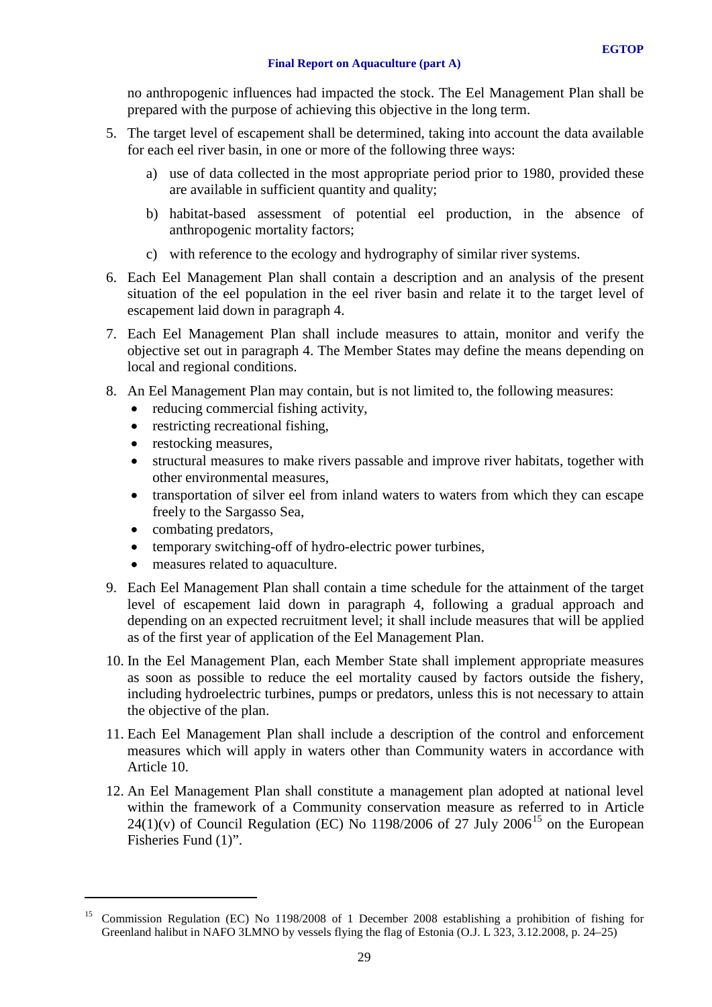no anthropogenic influences had impacted the stock. The Eel Management Plan shall be prepared with the purpose of achieving this objective in the long term.

- 5. The target level of escapement shall be determined, taking into account the data available for each eel river basin, in one or more of the following three ways:
	- a) use of data collected in the most appropriate period prior to 1980, provided these are available in sufficient quantity and quality;
	- b) habitat-based assessment of potential eel production, in the absence of anthropogenic mortality factors;
	- c) with reference to the ecology and hydrography of similar river systems.
- 6. Each Eel Management Plan shall contain a description and an analysis of the present situation of the eel population in the eel river basin and relate it to the target level of escapement laid down in paragraph 4.
- 7. Each Eel Management Plan shall include measures to attain, monitor and verify the objective set out in paragraph 4. The Member States may define the means depending on local and regional conditions.
- 8. An Eel Management Plan may contain, but is not limited to, the following measures:
	- reducing commercial fishing activity,
	- restricting recreational fishing.
	- restocking measures,
	- structural measures to make rivers passable and improve river habitats, together with other environmental measures,
	- transportation of silver eel from inland waters to waters from which they can escape freely to the Sargasso Sea,
	- combating predators,

<u>.</u>

- temporary switching-off of hydro-electric power turbines,
- measures related to aquaculture.
- 9. Each Eel Management Plan shall contain a time schedule for the attainment of the target level of escapement laid down in paragraph 4, following a gradual approach and depending on an expected recruitment level; it shall include measures that will be applied as of the first year of application of the Eel Management Plan.
- 10. In the Eel Management Plan, each Member State shall implement appropriate measures as soon as possible to reduce the eel mortality caused by factors outside the fishery, including hydroelectric turbines, pumps or predators, unless this is not necessary to attain the objective of the plan.
- 11. Each Eel Management Plan shall include a description of the control and enforcement measures which will apply in waters other than Community waters in accordance with Article 10.
- 12. An Eel Management Plan shall constitute a management plan adopted at national level within the framework of a Community conservation measure as referred to in Article  $24(1)(v)$  of Council Regulation (EC) No 1198/2006 of 27 July 2006<sup>[15](#page-28-0)</sup> on the European Fisheries Fund (1)".

<span id="page-28-0"></span><sup>&</sup>lt;sup>15</sup> Commission Regulation (EC) No 1198/2008 of 1 December 2008 establishing a prohibition of fishing for Greenland halibut in NAFO 3LMNO by vessels flying the flag of Estonia (O.J. L 323, 3.12.2008, p. 24–25)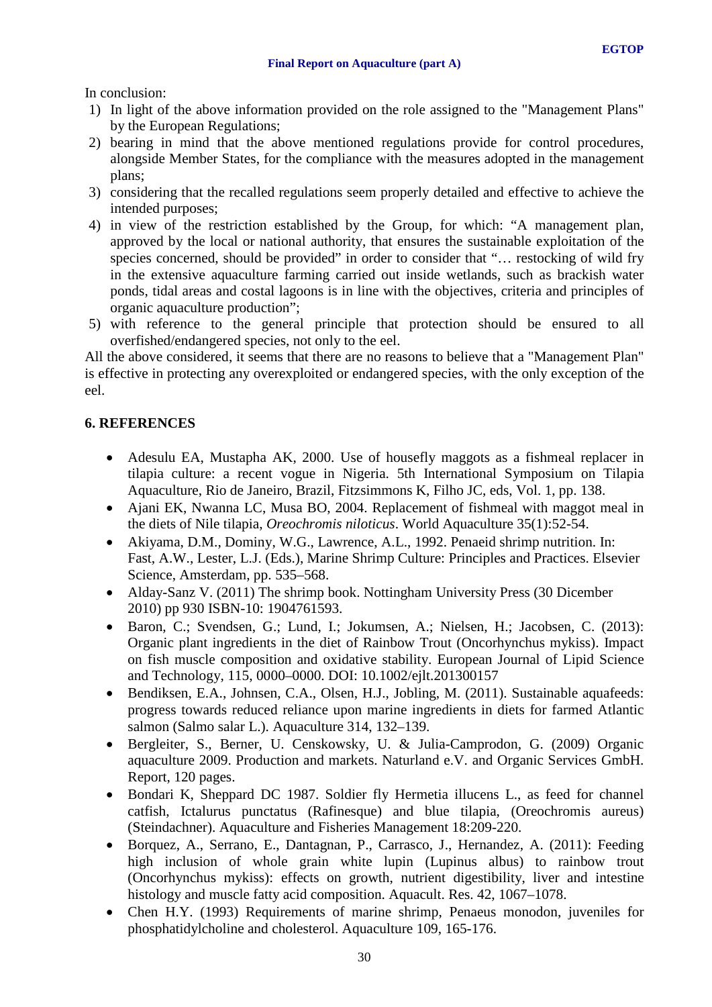In conclusion:

- 1) In light of the above information provided on the role assigned to the "Management Plans" by the European Regulations;
- 2) bearing in mind that the above mentioned regulations provide for control procedures, alongside Member States, for the compliance with the measures adopted in the management plans;
- 3) considering that the recalled regulations seem properly detailed and effective to achieve the intended purposes;
- 4) in view of the restriction established by the Group, for which: "A management plan, approved by the local or national authority, that ensures the sustainable exploitation of the species concerned, should be provided" in order to consider that "... restocking of wild fry in the extensive aquaculture farming carried out inside wetlands, such as brackish water ponds, tidal areas and costal lagoons is in line with the objectives, criteria and principles of organic aquaculture production";
- 5) with reference to the general principle that protection should be ensured to all overfished/endangered species, not only to the eel.

All the above considered, it seems that there are no reasons to believe that a "Management Plan" is effective in protecting any overexploited or endangered species, with the only exception of the eel.

# <span id="page-29-0"></span>**6. REFERENCES**

- Adesulu EA, Mustapha AK, 2000. Use of housefly maggots as a fishmeal replacer in tilapia culture: a recent vogue in Nigeria. 5th International Symposium on Tilapia Aquaculture, Rio de Janeiro, Brazil, Fitzsimmons K, Filho JC, eds, Vol. 1, pp. 138.
- Ajani EK, Nwanna LC, Musa BO, 2004. Replacement of fishmeal with maggot meal in the diets of Nile tilapia, *Oreochromis niloticus*. World Aquaculture 35(1):52-54.
- Akiyama, D.M., Dominy, W.G., Lawrence, A.L., 1992. Penaeid shrimp nutrition. In: Fast, A.W., Lester, L.J. (Eds.), Marine Shrimp Culture: Principles and Practices. Elsevier Science, Amsterdam, pp. 535–568.
- Alday-Sanz V. (2011) The shrimp book. Nottingham University Press (30 Dicember 2010) pp 930 ISBN-10: 1904761593.
- Baron, C.; Svendsen, G.; Lund, I.; Jokumsen, A.; Nielsen, H.; Jacobsen, C. (2013): Organic plant ingredients in the diet of Rainbow Trout (Oncorhynchus mykiss). Impact on fish muscle composition and oxidative stability. European Journal of Lipid Science and Technology, 115, 0000–0000. DOI: 10.1002/ejlt.201300157
- Bendiksen, E.A., Johnsen, C.A., Olsen, H.J., Jobling, M. (2011). Sustainable aquafeeds: progress towards reduced reliance upon marine ingredients in diets for farmed Atlantic salmon (Salmo salar L.). Aquaculture 314, 132–139.
- Bergleiter, S., Berner, U. Censkowsky, U. & Julia-Camprodon, G. (2009) Organic aquaculture 2009. Production and markets. Naturland e.V. and Organic Services GmbH. Report, 120 pages.
- Bondari K, Sheppard DC 1987. Soldier fly Hermetia illucens L., as feed for channel catfish, Ictalurus punctatus (Rafinesque) and blue tilapia, (Oreochromis aureus) (Steindachner). Aquaculture and Fisheries Management 18:209-220.
- Borquez, A., Serrano, E., Dantagnan, P., Carrasco, J., Hernandez, A. (2011): Feeding high inclusion of whole grain white lupin (Lupinus albus) to rainbow trout (Oncorhynchus mykiss): effects on growth, nutrient digestibility, liver and intestine histology and muscle fatty acid composition. Aquacult. Res. 42, 1067–1078.
- Chen H.Y. (1993) Requirements of marine shrimp, Penaeus monodon, juveniles for phosphatidylcholine and cholesterol. Aquaculture 109, 165-176.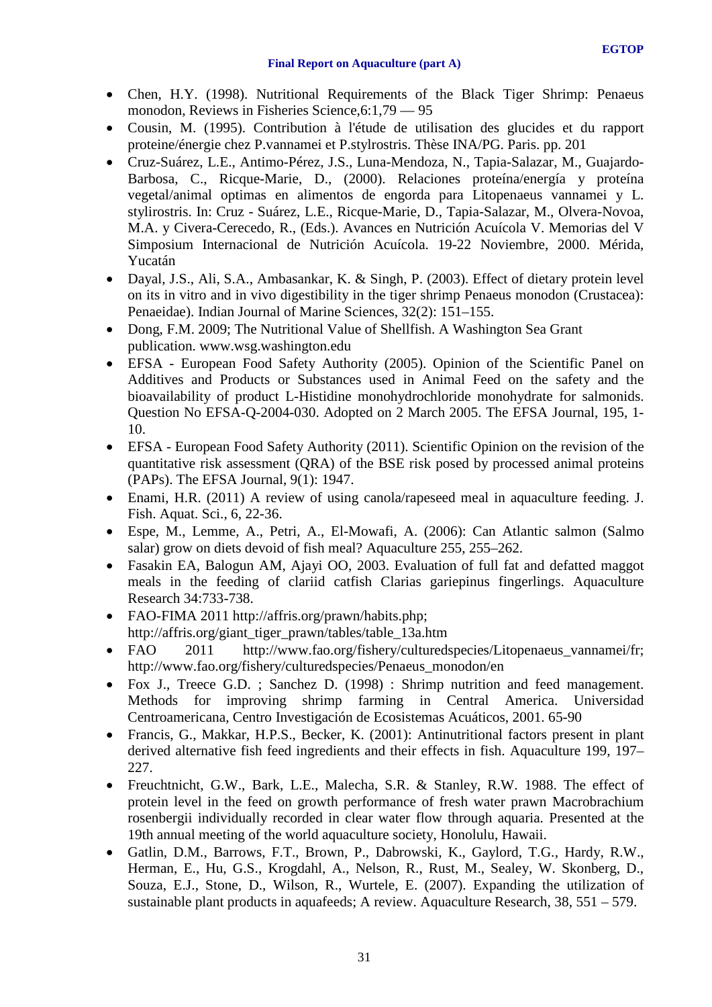- Chen, H.Y. (1998). Nutritional Requirements of the Black Tiger Shrimp: Penaeus monodon, Reviews in Fisheries Science,6:1,79 — 95
- Cousin, M. (1995). Contribution à l'étude de utilisation des glucides et du rapport proteine/énergie chez P.vannamei et P.stylrostris. Thèse INA/PG. Paris. pp. 201
- Cruz-Suárez, L.E., Antimo-Pérez, J.S., Luna-Mendoza, N., Tapia-Salazar, M., Guajardo-Barbosa, C., Ricque-Marie, D., (2000). Relaciones proteína/energía y proteína vegetal/animal optimas en alimentos de engorda para Litopenaeus vannamei y L. stylirostris. In: Cruz - Suárez, L.E., Ricque-Marie, D., Tapia-Salazar, M., Olvera-Novoa, M.A. y Civera-Cerecedo, R., (Eds.). Avances en Nutrición Acuícola V. Memorias del V Simposium Internacional de Nutrición Acuícola. 19-22 Noviembre, 2000. Mérida, Yucatán
- Dayal, J.S., Ali, S.A., Ambasankar, K. & Singh, P. (2003). Effect of dietary protein level on its in vitro and in vivo digestibility in the tiger shrimp Penaeus monodon (Crustacea): Penaeidae). Indian Journal of Marine Sciences, 32(2): 151–155.
- Dong, F.M. 2009; The Nutritional Value of Shellfish. A Washington Sea Grant publication. www.wsg.washington.edu
- EFSA European Food Safety Authority (2005). Opinion of the Scientific Panel on Additives and Products or Substances used in Animal Feed on the safety and the bioavailability of product L-Histidine monohydrochloride monohydrate for salmonids. Question No EFSA-Q-2004-030. Adopted on 2 March 2005. The EFSA Journal, 195, 1- 10.
- EFSA European Food Safety Authority (2011). Scientific Opinion on the revision of the quantitative risk assessment (QRA) of the BSE risk posed by processed animal proteins (PAPs). The EFSA Journal, 9(1): 1947.
- Enami, H.R. (2011) A review of using canola/rapeseed meal in aquaculture feeding. J. Fish. Aquat. Sci., 6, 22-36.
- Espe, M., Lemme, A., Petri, A., El-Mowafi, A. (2006): Can Atlantic salmon (Salmo salar) grow on diets devoid of fish meal? Aquaculture 255, 255–262.
- Fasakin EA, Balogun AM, Ajayi OO, 2003. Evaluation of full fat and defatted maggot meals in the feeding of clariid catfish Clarias gariepinus fingerlings. Aquaculture Research 34:733-738.
- FAO-FIMA 2011 http://affris.org/prawn/habits.php; http://affris.org/giant\_tiger\_prawn/tables/table\_13a.htm
- FAO 2011 http://www.fao.org/fishery/culturedspecies/Litopenaeus vannamei/fr; http://www.fao.org/fishery/culturedspecies/Penaeus\_monodon/en
- Fox J., Treece G.D. ; Sanchez D. (1998) : Shrimp nutrition and feed management. Methods for improving shrimp farming in Central America. Universidad Centroamericana, Centro Investigación de Ecosistemas Acuáticos, 2001. 65-90
- Francis, G., Makkar, H.P.S., Becker, K. (2001): Antinutritional factors present in plant derived alternative fish feed ingredients and their effects in fish. Aquaculture 199, 197– 227.
- Freuchtnicht, G.W., Bark, L.E., Malecha, S.R. & Stanley, R.W. 1988. The effect of protein level in the feed on growth performance of fresh water prawn Macrobrachium rosenbergii individually recorded in clear water flow through aquaria. Presented at the 19th annual meeting of the world aquaculture society, Honolulu, Hawaii.
- Gatlin, D.M., Barrows, F.T., Brown, P., Dabrowski, K., Gaylord, T.G., Hardy, R.W., Herman, E., Hu, G.S., Krogdahl, A., Nelson, R., Rust, M., Sealey, W. Skonberg, D., Souza, E.J., Stone, D., Wilson, R., Wurtele, E. (2007). Expanding the utilization of sustainable plant products in aquafeeds; A review. Aquaculture Research,  $38$ ,  $551 - 579$ .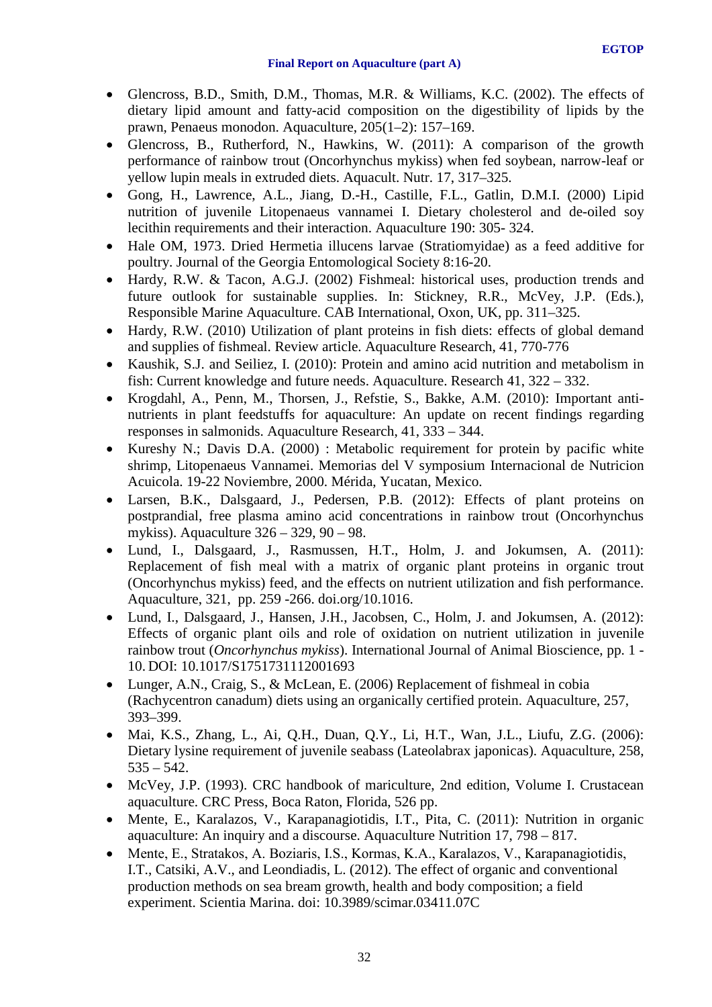- Glencross, B.D., Smith, D.M., Thomas, M.R. & Williams, K.C. (2002). The effects of dietary lipid amount and fatty-acid composition on the digestibility of lipids by the prawn, Penaeus monodon. Aquaculture, 205(1–2): 157–169.
- Glencross, B., Rutherford, N., Hawkins, W. (2011): A comparison of the growth performance of rainbow trout (Oncorhynchus mykiss) when fed soybean, narrow-leaf or yellow lupin meals in extruded diets. Aquacult. Nutr. 17, 317–325.
- Gong, H., Lawrence, A.L., Jiang, D.-H., Castille, F.L., Gatlin, D.M.I. (2000) Lipid nutrition of juvenile Litopenaeus vannamei I. Dietary cholesterol and de-oiled soy lecithin requirements and their interaction. Aquaculture 190: 305- 324.
- Hale OM, 1973. Dried Hermetia illucens larvae (Stratiomyidae) as a feed additive for poultry. Journal of the Georgia Entomological Society 8:16-20.
- Hardy, R.W. & Tacon, A.G.J. (2002) Fishmeal: historical uses, production trends and future outlook for sustainable supplies. In: Stickney, R.R., McVey, J.P. (Eds.), Responsible Marine Aquaculture. CAB International, Oxon, UK, pp. 311–325.
- Hardy, R.W. (2010) Utilization of plant proteins in fish diets: effects of global demand and supplies of fishmeal. Review article. Aquaculture Research, 41, 770-776
- Kaushik, S.J. and Seiliez, I. (2010): Protein and amino acid nutrition and metabolism in fish: Current knowledge and future needs. Aquaculture. Research 41, 322 – 332.
- Krogdahl, A., Penn, M., Thorsen, J., Refstie, S., Bakke, A.M. (2010): Important antinutrients in plant feedstuffs for aquaculture: An update on recent findings regarding responses in salmonids. Aquaculture Research, 41, 333 – 344.
- Kureshy N.; Davis D.A. (2000) : Metabolic requirement for protein by pacific white shrimp, Litopenaeus Vannamei. Memorias del V symposium Internacional de Nutricion Acuicola. 19-22 Noviembre, 2000. Mérida, Yucatan, Mexico.
- Larsen, B.K., Dalsgaard, J., Pedersen, P.B. (2012): Effects of plant proteins on postprandial, free plasma amino acid concentrations in rainbow trout (Oncorhynchus mykiss). Aquaculture 326 – 329, 90 – 98.
- Lund, I., Dalsgaard, J., Rasmussen, H.T., Holm, J. and Jokumsen, A. (2011): Replacement of fish meal with a matrix of organic plant proteins in organic trout (Oncorhynchus mykiss) feed, and the effects on nutrient utilization and fish performance. Aquaculture, 321, pp. 259 -266. doi.org/10.1016.
- Lund, I., Dalsgaard, J., Hansen, J.H., Jacobsen, C., Holm, J. and Jokumsen, A. (2012): Effects of organic plant oils and role of oxidation on nutrient utilization in juvenile rainbow trout (*Oncorhynchus mykiss*). International Journal of Animal Bioscience, pp. 1 - 10. DOI: 10.1017/S1751731112001693
- Lunger, A.N., Craig, S., & McLean, E. (2006) Replacement of fishmeal in cobia (Rachycentron canadum) diets using an organically certified protein. Aquaculture, 257, 393–399.
- Mai, K.S., Zhang, L., Ai, Q.H., Duan, Q.Y., Li, H.T., Wan, J.L., Liufu, Z.G. (2006): Dietary lysine requirement of juvenile seabass (Lateolabrax japonicas). Aquaculture, 258,  $535 - 542$ .
- McVey, J.P. (1993). CRC handbook of mariculture, 2nd edition, Volume I. Crustacean aquaculture. CRC Press, Boca Raton, Florida, 526 pp.
- Mente, E., Karalazos, V., Karapanagiotidis, I.T., Pita, C. (2011): Nutrition in organic aquaculture: An inquiry and a discourse. Aquaculture Nutrition 17, 798 – 817.
- Mente, E., Stratakos, Α. Boziaris, I.S., Kormas, K.A., Karalazos, V., Karapanagiotidis, I.T., Catsiki, A.V., and Leondiadis, L. (2012). The effect of organic and conventional production methods on sea bream growth, health and body composition; a field experiment. Scientia Marina. doi: 10.3989/scimar.03411.07C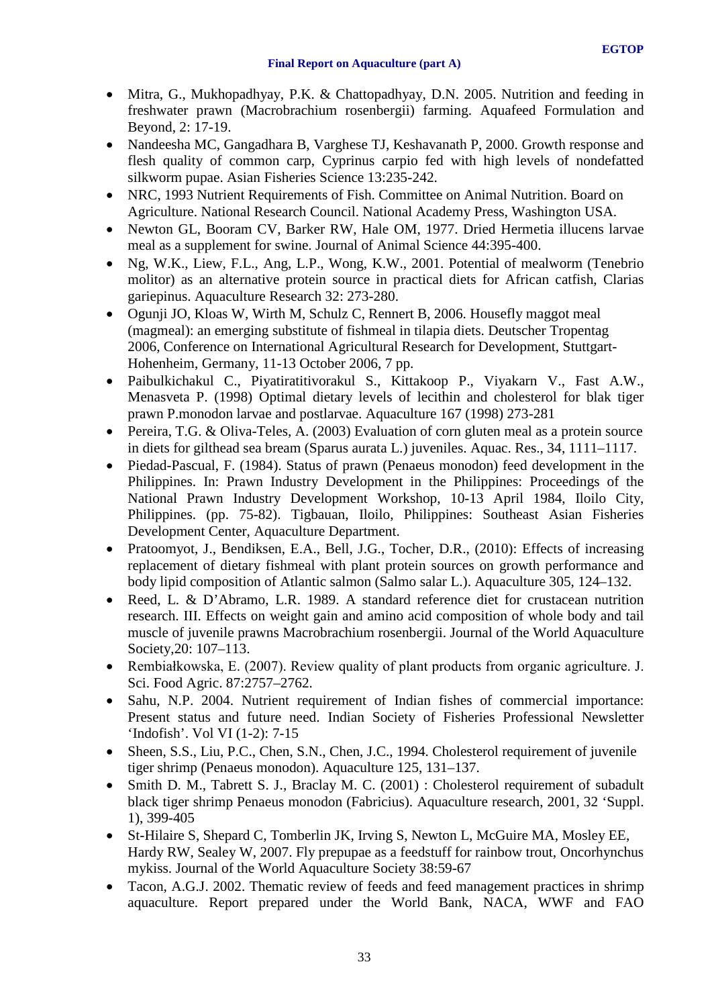- Mitra, G., Mukhopadhyay, P.K. & Chattopadhyay, D.N. 2005. Nutrition and feeding in freshwater prawn (Macrobrachium rosenbergii) farming. Aquafeed Formulation and Beyond, 2: 17-19.
- Nandeesha MC, Gangadhara B, Varghese TJ, Keshavanath P, 2000. Growth response and flesh quality of common carp, Cyprinus carpio fed with high levels of nondefatted silkworm pupae. Asian Fisheries Science 13:235-242.
- NRC, 1993 Nutrient Requirements of Fish. Committee on Animal Nutrition. Board on Agriculture. National Research Council. National Academy Press, Washington USA.
- Newton GL, Booram CV, Barker RW, Hale OM, 1977. Dried Hermetia illucens larvae meal as a supplement for swine. Journal of Animal Science 44:395-400.
- Ng, W.K., Liew, F.L., Ang, L.P., Wong, K.W., 2001. Potential of mealworm (Tenebrio molitor) as an alternative protein source in practical diets for African catfish, Clarias gariepinus. Aquaculture Research 32: 273-280.
- Ogunii JO, Kloas W, Wirth M, Schulz C, Rennert B, 2006. Housefly maggot meal (magmeal): an emerging substitute of fishmeal in tilapia diets. Deutscher Tropentag 2006, Conference on International Agricultural Research for Development, Stuttgart-Hohenheim, Germany, 11-13 October 2006, 7 pp.
- Paibulkichakul C., Piyatiratitivorakul S., Kittakoop P., Viyakarn V., Fast A.W., Menasveta P. (1998) Optimal dietary levels of lecithin and cholesterol for blak tiger prawn P.monodon larvae and postlarvae. Aquaculture 167 (1998) 273-281
- Pereira, T.G. & Oliva-Teles, A. (2003) Evaluation of corn gluten meal as a protein source in diets for gilthead sea bream (Sparus aurata L.) juveniles. Aquac. Res., 34, 1111–1117.
- Piedad-Pascual, F. (1984). Status of prawn (Penaeus monodon) feed development in the Philippines. In: Prawn Industry Development in the Philippines: Proceedings of the National Prawn Industry Development Workshop, 10-13 April 1984, Iloilo City, Philippines. (pp. 75-82). Tigbauan, Iloilo, Philippines: Southeast Asian Fisheries Development Center, Aquaculture Department.
- Pratoomyot, J., Bendiksen, E.A., Bell, J.G., Tocher, D.R., (2010): Effects of increasing replacement of dietary fishmeal with plant protein sources on growth performance and body lipid composition of Atlantic salmon (Salmo salar L.). Aquaculture 305, 124–132.
- Reed, L. & D'Abramo, L.R. 1989. A standard reference diet for crustacean nutrition research. III. Effects on weight gain and amino acid composition of whole body and tail muscle of juvenile prawns Macrobrachium rosenbergii. Journal of the World Aquaculture Society,20: 107–113.
- Rembiałkowska, E. (2007). Review quality of plant products from organic agriculture. J. Sci. Food Agric. 87:2757–2762.
- Sahu, N.P. 2004. Nutrient requirement of Indian fishes of commercial importance: Present status and future need. Indian Society of Fisheries Professional Newsletter 'Indofish'. Vol VI (1-2): 7-15
- Sheen, S.S., Liu, P.C., Chen, S.N., Chen, J.C., 1994. Cholesterol requirement of juvenile tiger shrimp (Penaeus monodon). Aquaculture 125, 131–137.
- Smith D. M., Tabrett S. J., Braclay M. C. (2001) : Cholesterol requirement of subadult black tiger shrimp Penaeus monodon (Fabricius). Aquaculture research, 2001, 32 'Suppl. 1), 399-405
- St-Hilaire S, Shepard C, Tomberlin JK, Irving S, Newton L, McGuire MA, Mosley EE, Hardy RW, Sealey W, 2007. Fly prepupae as a feedstuff for rainbow trout, Oncorhynchus mykiss. Journal of the World Aquaculture Society 38:59-67
- Tacon, A.G.J. 2002. Thematic review of feeds and feed management practices in shrimp aquaculture. Report prepared under the World Bank, NACA, WWF and FAO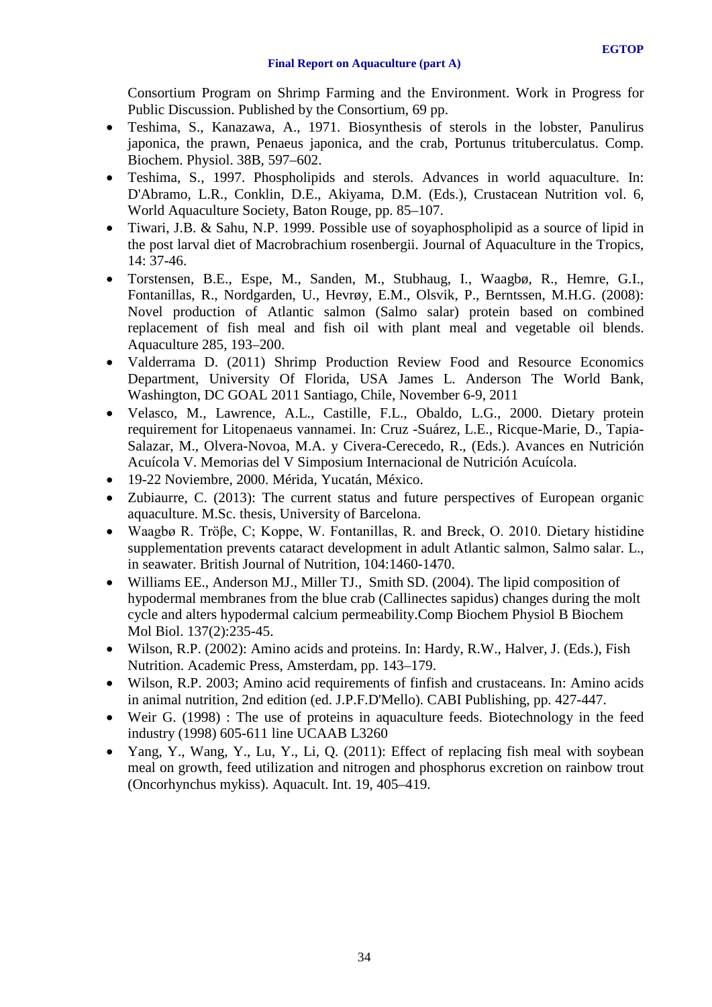Consortium Program on Shrimp Farming and the Environment. Work in Progress for Public Discussion. Published by the Consortium, 69 pp.

- Teshima, S., Kanazawa, A., 1971. Biosynthesis of sterols in the lobster, Panulirus japonica, the prawn, Penaeus japonica, and the crab, Portunus trituberculatus. Comp. Biochem. Physiol. 38B, 597–602.
- Teshima, S., 1997. Phospholipids and sterols. Advances in world aquaculture. In: D'Abramo, L.R., Conklin, D.E., Akiyama, D.M. (Eds.), Crustacean Nutrition vol. 6, World Aquaculture Society, Baton Rouge, pp. 85–107.
- Tiwari, J.B. & Sahu, N.P. 1999. Possible use of soyaphospholipid as a source of lipid in the post larval diet of Macrobrachium rosenbergii. Journal of Aquaculture in the Tropics, 14: 37-46.
- Torstensen, B.E., Espe, M., Sanden, M., Stubhaug, I., Waagbø, R., Hemre, G.I., Fontanillas, R., Nordgarden, U., Hevrøy, E.M., Olsvik, P., Berntssen, M.H.G. (2008): Novel production of Atlantic salmon (Salmo salar) protein based on combined replacement of fish meal and fish oil with plant meal and vegetable oil blends. Aquaculture 285, 193–200.
- Valderrama D. (2011) Shrimp Production Review Food and Resource Economics Department, University Of Florida, USA James L. Anderson The World Bank, Washington, DC GOAL 2011 Santiago, Chile, November 6-9, 2011
- Velasco, M., Lawrence, A.L., Castille, F.L., Obaldo, L.G., 2000. Dietary protein requirement for Litopenaeus vannamei. In: Cruz -Suárez, L.E., Ricque-Marie, D., Tapia-Salazar, M., Olvera-Novoa, M.A. y Civera-Cerecedo, R., (Eds.). Avances en Nutrición Acuícola V. Memorias del V Simposium Internacional de Nutrición Acuícola.
- 19-22 Noviembre, 2000. Mérida, Yucatán, México.
- Zubiaurre, C. (2013): The current status and future perspectives of European organic aquaculture. M.Sc. thesis, University of Barcelona.
- Waagbø R. Tröβe, C; Koppe, W. Fontanillas, R. and Breck, O. 2010. Dietary histidine supplementation prevents cataract development in adult Atlantic salmon, Salmo salar. L., in seawater. British Journal of Nutrition, 104:1460-1470.
- Williams EE., Anderson MJ., Miller TJ., Smith SD. (2004). The lipid composition of hypodermal membranes from the blue crab (Callinectes sapidus) changes during the molt cycle and alters hypodermal calcium permeability.Comp Biochem Physiol B Biochem Mol Biol. 137(2):235-45.
- Wilson, R.P. (2002): Amino acids and proteins. In: Hardy, R.W., Halver, J. (Eds.), Fish Nutrition. Academic Press, Amsterdam, pp. 143–179.
- Wilson, R.P. 2003; Amino acid requirements of finfish and crustaceans. In: Amino acids in animal nutrition, 2nd edition (ed. J.P.F.D'Mello). CABI Publishing, pp. 427-447.
- Weir G. (1998) : The use of proteins in aquaculture feeds. Biotechnology in the feed industry (1998) 605-611 line UCAAB L3260
- Yang, Y., Wang, Y., Lu, Y., Li, O. (2011): Effect of replacing fish meal with soybean meal on growth, feed utilization and nitrogen and phosphorus excretion on rainbow trout (Oncorhynchus mykiss). Aquacult. Int. 19, 405–419.